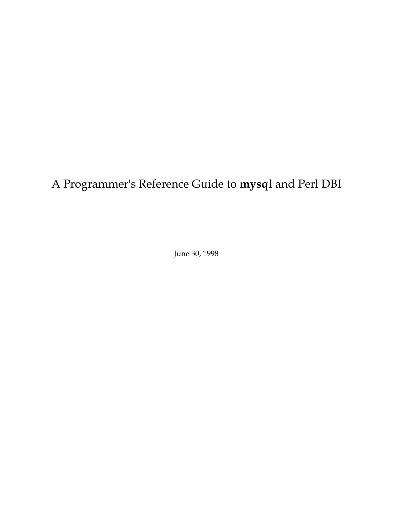# A Programmer's Reference Guide to **mysql** and Perl DBI

June 30, 1998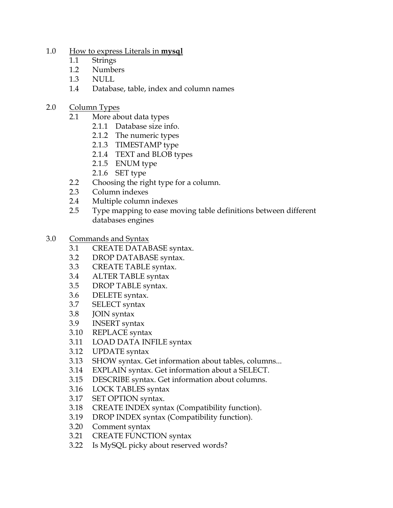- 1.0 [How to express Literals in](#page-3-0) **mysql**
	- 1.1 [Strings](#page-3-0)
	- 1.2 [Numbers](#page-4-0)
	- [1.3 NULL](#page-4-0)
	- [1.4 Database, table, index and column names](#page-5-0)
- 2.0 [Column Types](#page-6-0)
	- [2.1 More about data types](#page-8-0)
		- [2.1.1 Database size info.](#page-8-0)
		- [2.1.2 The numeric types](#page-8-0)
		- [2.1.3 TIMESTAMP type](#page-9-0)
		- [2.1.4 TEXT and BLOB types](#page-9-0)
		- [2.1.5 ENUM type](#page-10-0)
		- [2.1.6 SET type](#page-11-0)
	- [2.2 Choosing the right type for a column.](#page-11-0)
	- [2.3 Column indexes](#page-12-0)
	- [2.4 Multiple column indexes](#page-12-0)
	- [2.5 Type mapping to ease moving table definitions between different](#page-13-0) databases engines
- 3.0 [Commands and Syntax](#page-14-0)
	- [3.1 CREATE DATABASE syntax.](#page-14-0)
	- 3.2 [DROP DATABASE syntax.](#page-14-0)
	- 3.3 [CREATE TABLE syntax.](#page-14-0)
	- 3.4 [ALTER TABLE syntax](#page-17-0)
	- 3.5 [DROP TABLE syntax.](#page-19-0)
	- 3.6 [DELETE syntax.](#page-19-0)
	- 3.7 [SELECT syntax](#page-19-0)
	- 3.8 [JOIN syntax](#page-21-0)
	- 3.9 [INSERT syntax](#page-22-0)
	- 3.10 [REPLACE syntax](#page-23-0)
	- 3.11 [LOAD DATA INFILE syntax](#page-23-0)
	- 3.12 [UPDATE syntax](#page-26-0)
	- 3.13 [SHOW syntax. Get information about tables, columns...](#page-26-0)
	- 3.14 [EXPLAIN syntax. Get information about a SELECT.](#page-27-0)
	- 3.15 [DESCRIBE syntax. Get information about columns.](#page-29-0)
	- 3.16 [LOCK TABLES syntax](#page-30-0)
	- 3.17 [SET OPTION syntax.](#page-31-0)
	- 3.18 [CREATE INDEX syntax \(Compatibility function\).](#page-32-0)
	- 3.19 [DROP INDEX syntax \(Compatibility function\).](#page-33-0)
	- 3.20 [Comment syntax](#page-33-0)
	- 3.21 [CREATE FUNCTION syntax](#page-34-0)
	- 3.22 [Is MySQL picky about reserved words?](#page-35-0)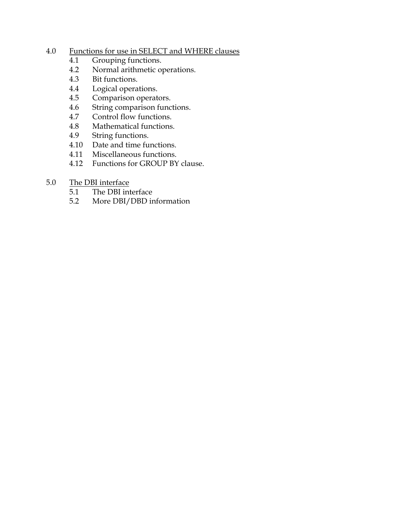## 4.0 [Functions for use in SELECT and WHERE clauses](#page-38-0)

- 4.1 [Grouping functions.](#page-38-0)
- 4.2 [Normal arithmetic operations.](#page-38-0)
- 4.3 [Bit functions.](#page-39-0)
- 4.4 [Logical operations.](#page-39-0)
- 4.5 [Comparison operators.](#page-40-0)
- 4.6 [String comparison functions.](#page-41-0)
- 4.7 [Control flow functions.](#page-43-0)
- 4.8 [Mathematical functions.](#page-43-0)
- 4.9 [String functions.](#page-47-0)
- 4.10 [Date and time functions.](#page-51-0)
- 4.11 [Miscellaneous functions.](#page-57-0)
- 4.12 [Functions for GROUP BY clause.](#page-58-0)
- 5.0 [The DBI interface](#page-60-0)
	- 5.1 [The DBI interface](#page-60-0)
	- 5.2 [More DBI/DBD information](#page-65-0)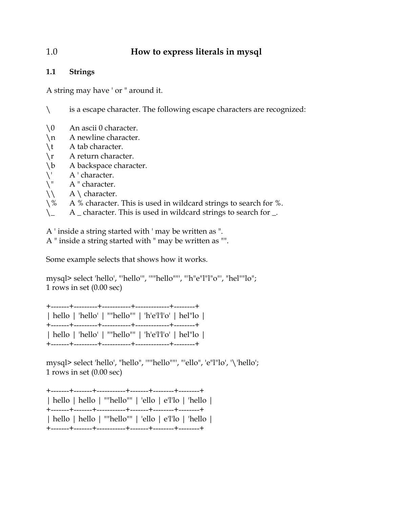## <span id="page-3-0"></span>1.0 **How to express literals in mysql**

#### **1.1 Strings**

A string may have ' or " around it.

\ is a escape character. The following escape characters are recognized:

- \0 An ascii 0 character.
- \n A newline character.
- \t A tab character.
- \r A return character.
- \b A backspace character.
- $\setminus$ " A ' character.<br> $\setminus$ " A " character.
- A " character.
- $\setminus$  A \ character.
- \% A % character. This is used in wildcard strings to search for %.
- $\setminus$  A \_ character. This is used in wildcard strings to search for \_.

A ' inside a string started with ' may be written as ".

A " inside a string started with " may be written as "".

Some example selects that shows how it works.

mysql> select 'hello', "'hello'", '""hello""', "'h"e"l"l"o"', "hel""lo"; 1 rows in set (0.00 sec)

|  |  | hello   'hello'   ""hello""   'h'e'l'l'o'   hel"lo |  |
|--|--|----------------------------------------------------|--|
|  |  |                                                    |  |
|  |  | hello   'hello'   ""hello""   'h'e'l'l'o'   hel"lo |  |
|  |  |                                                    |  |

mysql> select 'hello', "hello", '""hello""', "'ello", 'e"l"lo', '\'hello'; 1 rows in set (0.00 sec)

|  | hello   hello   ""hello""   'ello   e'l'lo   'hello |  |  |
|--|-----------------------------------------------------|--|--|
|  |                                                     |  |  |
|  | hello   hello   ""hello""   'ello   e'l'lo   'hello |  |  |
|  |                                                     |  |  |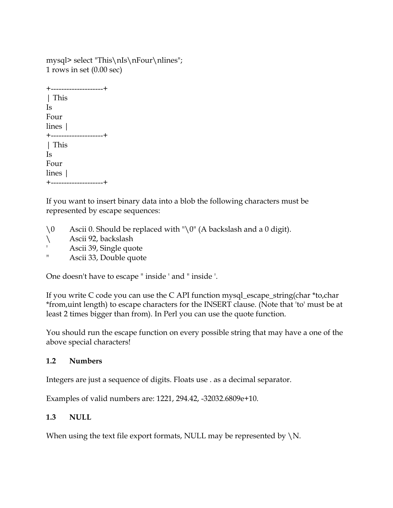<span id="page-4-0"></span>mysql> select "This\nIs\nFour\nlines"; 1 rows in set (0.00 sec)

+--------------------+ | This Is Four lines | +--------------------+ | This Is Four lines | +--------------------+

If you want to insert binary data into a blob the following characters must be represented by escape sequences:

- \0 Ascii 0. Should be replaced with "\0" (A backslash and a 0 digit).
- \ Ascii 92, backslash
- ' Ascii 39, Single quote
- " Ascii 33, Double quote

One doesn't have to escape " inside ' and " inside '.

If you write C code you can use the C API function mysql\_escape\_string(char \*to,char \*from,uint length) to escape characters for the INSERT clause. (Note that 'to' must be at least 2 times bigger than from). In Perl you can use the quote function.

You should run the escape function on every possible string that may have a one of the above special characters!

#### **1.2 Numbers**

Integers are just a sequence of digits. Floats use . as a decimal separator.

Examples of valid numbers are: 1221, 294.42, -32032.6809e+10.

#### **1.3 NULL**

When using the text file export formats, NULL may be represented by  $\backslash N$ .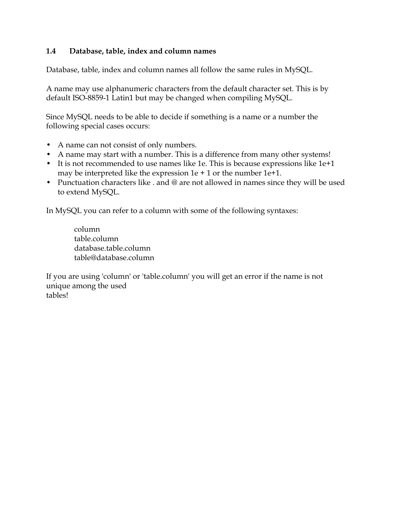#### <span id="page-5-0"></span>**1.4 Database, table, index and column names**

Database, table, index and column names all follow the same rules in MySQL.

A name may use alphanumeric characters from the default character set. This is by default ISO-8859-1 Latin1 but may be changed when compiling MySQL.

Since MySQL needs to be able to decide if something is a name or a number the following special cases occurs:

- A name can not consist of only numbers.
- A name may start with a number. This is a difference from many other systems!
- It is not recommended to use names like 1e. This is because expressions like 1e+1 may be interpreted like the expression  $1e + 1$  or the number  $1e + 1$ .
- Punctuation characters like . and @ are not allowed in names since they will be used to extend MySQL.

In MySQL you can refer to a column with some of the following syntaxes:

 column table.column database.table.column table@database.column

If you are using 'column' or 'table.column' you will get an error if the name is not unique among the used tables!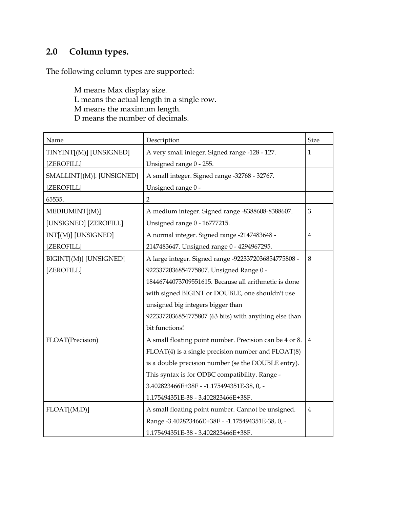# <span id="page-6-0"></span>**2.0 Column types.**

The following column types are supported:

 M means Max display size. L means the actual length in a single row. M means the maximum length. D means the number of decimals.

| Name                      | Description                                             | <b>Size</b>    |
|---------------------------|---------------------------------------------------------|----------------|
| TINYINT[(M)] [UNSIGNED]   | A very small integer. Signed range -128 - 127.          | 1              |
| [ZEROFILL]                | Unsigned range 0 - 255.                                 |                |
| SMALLINT[(M)]. [UNSIGNED] | A small integer. Signed range -32768 - 32767.           |                |
| [ZEROFILL]                | Unsigned range 0 -                                      |                |
| 65535.                    | $\overline{2}$                                          |                |
| MEDIUMINT[(M)]            | A medium integer. Signed range -8388608-8388607.        | 3              |
| [UNSIGNED] [ZEROFILL]     | Unsigned range 0 - 16777215.                            |                |
| INT[(M)] [UNSIGNED]       | A normal integer. Signed range -2147483648 -            | 4              |
| [ZEROFILL]                | 2147483647. Unsigned range 0 - 4294967295.              |                |
| BIGINT[(M)] [UNSIGNED]    | A large integer. Signed range -9223372036854775808 -    | 8              |
| [ZEROFILL]                | 9223372036854775807. Unsigned Range 0 -                 |                |
|                           | 18446744073709551615. Because all arithmetic is done    |                |
|                           | with signed BIGINT or DOUBLE, one shouldn't use         |                |
|                           | unsigned big integers bigger than                       |                |
|                           | 9223372036854775807 (63 bits) with anything else than   |                |
|                           | bit functions!                                          |                |
| FLOAT(Precision)          | A small floating point number. Precision can be 4 or 8. | $\overline{4}$ |
|                           | $FLOAT(4)$ is a single precision number and $FLOAT(8)$  |                |
|                           | is a double precision number (se the DOUBLE entry).     |                |
|                           | This syntax is for ODBC compatibility. Range -          |                |
|                           | 3.402823466E+38F - -1.175494351E-38, 0, -               |                |
|                           | 1.175494351E-38 - 3.402823466E+38F.                     |                |
| FLOAT[(M,D)]              | A small floating point number. Cannot be unsigned.      | 4              |
|                           | Range -3.402823466E+38F - -1.175494351E-38, 0, -        |                |
|                           | 1.175494351E-38 - 3.402823466E+38F.                     |                |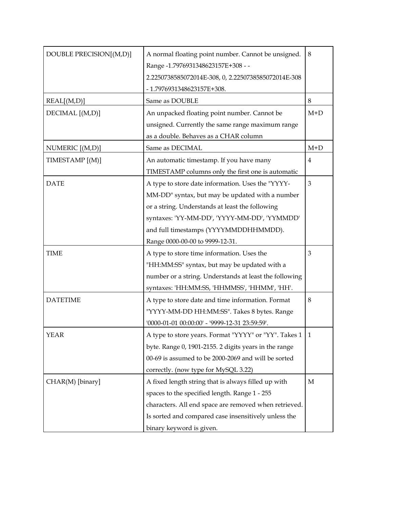| DOUBLE PRECISION[(M,D)] | A normal floating point number. Cannot be unsigned.<br>Range -1.7976931348623157E+308 -- | 8              |
|-------------------------|------------------------------------------------------------------------------------------|----------------|
|                         | 2.2250738585072014E-308, 0, 2.2250738585072014E-308                                      |                |
|                         | - 1.7976931348623157E+308.                                                               |                |
| REAL[(M,D)]             | Same as DOUBLE                                                                           | 8              |
| DECIMAL [(M,D)]         | An unpacked floating point number. Cannot be                                             | $M+D$          |
|                         | unsigned. Currently the same range maximum range                                         |                |
|                         | as a double. Behaves as a CHAR column                                                    |                |
| NUMERIC [(M,D)]         | Same as DECIMAL                                                                          | $M+D$          |
| TIMESTAMP [(M)]         | An automatic timestamp. If you have many                                                 | $\overline{4}$ |
|                         | TIMESTAMP columns only the first one is automatic                                        |                |
| <b>DATE</b>             | A type to store date information. Uses the "YYYY-                                        | 3              |
|                         | MM-DD" syntax, but may be updated with a number                                          |                |
|                         | or a string. Understands at least the following                                          |                |
|                         | syntaxes: 'YY-MM-DD', 'YYYY-MM-DD', 'YYMMDD'                                             |                |
|                         | and full timestamps (YYYYMMDDHHMMDD).                                                    |                |
|                         | Range 0000-00-00 to 9999-12-31.                                                          |                |
| <b>TIME</b>             | A type to store time information. Uses the                                               | 3              |
|                         | "HH:MM:SS" syntax, but may be updated with a                                             |                |
|                         | number or a string. Understands at least the following                                   |                |
|                         | syntaxes: 'HH:MM:SS, 'HHMMSS', 'HHMM', 'HH'.                                             |                |
| <b>DATETIME</b>         | A type to store date and time information. Format                                        | 8              |
|                         | "YYYY-MM-DD HH:MM:SS". Takes 8 bytes. Range                                              |                |
|                         | "0000-01-01 00:00:00' - '9999-12-31 23:59:59'.                                           |                |
| <b>YEAR</b>             | A type to store years. Format "YYYY" or "YY". Takes 1                                    |                |
|                         | byte. Range 0, 1901-2155. 2 digits years in the range                                    |                |
|                         | 00-69 is assumed to be 2000-2069 and will be sorted                                      |                |
|                         | correctly. (now type for MySQL 3.22)                                                     |                |
| CHAR(M) [binary]        | A fixed length string that is always filled up with                                      | М              |
|                         | spaces to the specified length. Range 1 - 255                                            |                |
|                         | characters. All end space are removed when retrieved.                                    |                |
|                         | Is sorted and compared case insensitively unless the                                     |                |
|                         | binary keyword is given.                                                                 |                |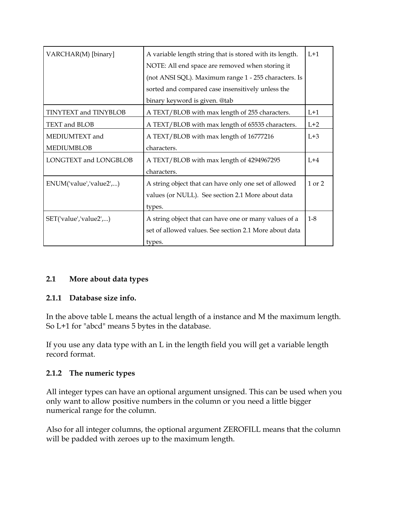<span id="page-8-0"></span>

| VARCHAR(M) [binary]          | A variable length string that is stored with its length.<br>$L+1$ |         |
|------------------------------|-------------------------------------------------------------------|---------|
|                              | NOTE: All end space are removed when storing it                   |         |
|                              | (not ANSI SQL). Maximum range 1 - 255 characters. Is              |         |
|                              | sorted and compared case insensitively unless the                 |         |
|                              | binary keyword is given. @tab                                     |         |
| <b>TINYTEXT and TINYBLOB</b> | A TEXT/BLOB with max length of 255 characters.                    | $L+1$   |
| TEXT and BLOB                | A TEXT/BLOB with max length of 65535 characters.                  | $L+2$   |
| MEDIUMTEXT and               | A TEXT/BLOB with max length of 16777216                           | $L+3$   |
| <b>MEDIUMBLOB</b>            | characters.                                                       |         |
| LONGTEXT and LONGBLOB        | A TEXT/BLOB with max length of 4294967295                         | $L+4$   |
|                              | characters.                                                       |         |
| ENUM('value','value2',)      | A string object that can have only one set of allowed             | 1 or 2  |
|                              | values (or NULL). See section 2.1 More about data                 |         |
|                              | types.                                                            |         |
| SET('value','value2',)       | A string object that can have one or many values of a             | $1 - 8$ |
|                              | set of allowed values. See section 2.1 More about data            |         |
|                              | types.                                                            |         |

#### **2.1 More about data types**

#### **2.1.1 Database size info.**

In the above table L means the actual length of a instance and M the maximum length. So L+1 for "abcd" means 5 bytes in the database.

If you use any data type with an L in the length field you will get a variable length record format.

#### **2.1.2 The numeric types**

All integer types can have an optional argument unsigned. This can be used when you only want to allow positive numbers in the column or you need a little bigger numerical range for the column.

Also for all integer columns, the optional argument ZEROFILL means that the column will be padded with zeroes up to the maximum length.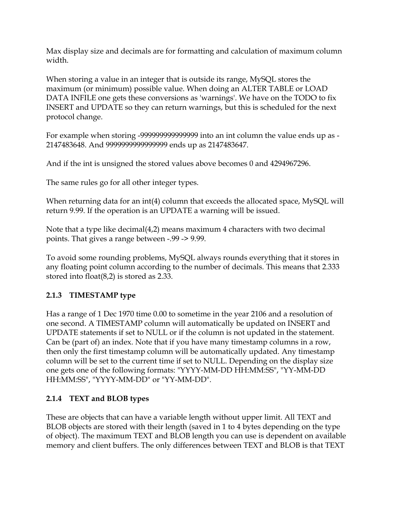<span id="page-9-0"></span>Max display size and decimals are for formatting and calculation of maximum column width.

When storing a value in an integer that is outside its range, MySQL stores the maximum (or minimum) possible value. When doing an ALTER TABLE or LOAD DATA INFILE one gets these conversions as 'warnings'. We have on the TODO to fix INSERT and UPDATE so they can return warnings, but this is scheduled for the next protocol change.

For example when storing -999999999999999 into an int column the value ends up as - 2147483648. And 9999999999999999 ends up as 2147483647.

And if the int is unsigned the stored values above becomes 0 and 4294967296.

The same rules go for all other integer types.

When returning data for an int(4) column that exceeds the allocated space, MySQL will return 9.99. If the operation is an UPDATE a warning will be issued.

Note that a type like decimal(4,2) means maximum 4 characters with two decimal points. That gives a range between -.99 -> 9.99.

To avoid some rounding problems, MySQL always rounds everything that it stores in any floating point column according to the number of decimals. This means that 2.333 stored into float(8,2) is stored as 2.33.

## **2.1.3 TIMESTAMP type**

Has a range of 1 Dec 1970 time 0.00 to sometime in the year 2106 and a resolution of one second. A TIMESTAMP column will automatically be updated on INSERT and UPDATE statements if set to NULL or if the column is not updated in the statement. Can be (part of) an index. Note that if you have many timestamp columns in a row, then only the first timestamp column will be automatically updated. Any timestamp column will be set to the current time if set to NULL. Depending on the display size one gets one of the following formats: "YYYY-MM-DD HH:MM:SS", "YY-MM-DD HH:MM:SS", "YYYY-MM-DD" or "YY-MM-DD".

## **2.1.4 TEXT and BLOB types**

These are objects that can have a variable length without upper limit. All TEXT and BLOB objects are stored with their length (saved in 1 to 4 bytes depending on the type of object). The maximum TEXT and BLOB length you can use is dependent on available memory and client buffers. The only differences between TEXT and BLOB is that TEXT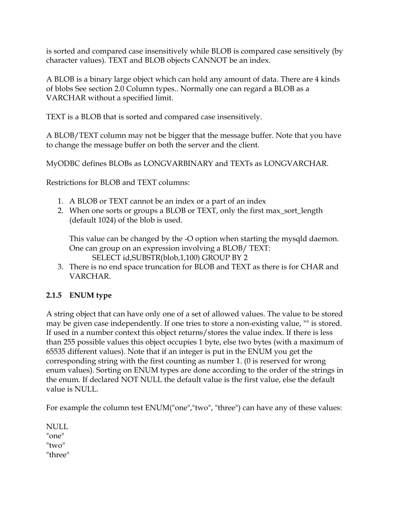<span id="page-10-0"></span>is sorted and compared case insensitively while BLOB is compared case sensitively (by character values). TEXT and BLOB objects CANNOT be an index.

A BLOB is a binary large object which can hold any amount of data. There are 4 kinds of blobs See section 2.0 Column types.. Normally one can regard a BLOB as a VARCHAR without a specified limit.

TEXT is a BLOB that is sorted and compared case insensitively.

A BLOB/TEXT column may not be bigger that the message buffer. Note that you have to change the message buffer on both the server and the client.

MyODBC defines BLOBs as LONGVARBINARY and TEXTs as LONGVARCHAR.

Restrictions for BLOB and TEXT columns:

- 1. A BLOB or TEXT cannot be an index or a part of an index
- 2. When one sorts or groups a BLOB or TEXT, only the first max\_sort\_length (default 1024) of the blob is used.

This value can be changed by the -O option when starting the mysqld daemon. One can group on an expression involving a BLOB/ TEXT: SELECT id,SUBSTR(blob,1,100) GROUP BY 2

3. There is no end space truncation for BLOB and TEXT as there is for CHAR and VARCHAR.

## **2.1.5 ENUM type**

A string object that can have only one of a set of allowed values. The value to be stored may be given case independently. If one tries to store a non-existing value, "" is stored. If used in a number context this object returns/stores the value index. If there is less than 255 possible values this object occupies 1 byte, else two bytes (with a maximum of 65535 different values). Note that if an integer is put in the ENUM you get the corresponding string with the first counting as number 1. (0 is reserved for wrong enum values). Sorting on ENUM types are done according to the order of the strings in the enum. If declared NOT NULL the default value is the first value, else the default value is NULL.

For example the column test ENUM("one","two", "three") can have any of these values:

NULL "one" "two" "three"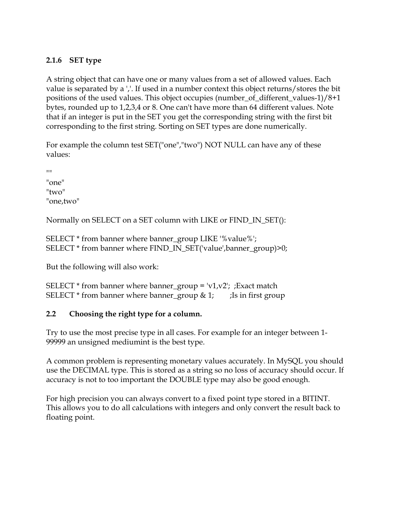## <span id="page-11-0"></span>**2.1.6 SET type**

A string object that can have one or many values from a set of allowed values. Each value is separated by a ','. If used in a number context this object returns/stores the bit positions of the used values. This object occupies (number\_of\_different\_values-1)/8+1 bytes, rounded up to 1,2,3,4 or 8. One can't have more than 64 different values. Note that if an integer is put in the SET you get the corresponding string with the first bit corresponding to the first string. Sorting on SET types are done numerically.

For example the column test SET("one","two") NOT NULL can have any of these values:

 $^{\prime\prime\prime\prime}$ "one" "two" "one,two"

Normally on SELECT on a SET column with LIKE or FIND\_IN\_SET():

SELECT \* from banner where banner\_group LIKE '%value%'; SELECT \* from banner where FIND\_IN\_SET('value',banner\_group)>0;

But the following will also work:

SELECT  $*$  from banner where banner\_group = 'v1,v2'; ;Exact match SELECT  $*$  from banner where banner\_group & 1; js in first group

#### **2.2 Choosing the right type for a column.**

Try to use the most precise type in all cases. For example for an integer between 1- 99999 an unsigned mediumint is the best type.

A common problem is representing monetary values accurately. In MySQL you should use the DECIMAL type. This is stored as a string so no loss of accuracy should occur. If accuracy is not to too important the DOUBLE type may also be good enough.

For high precision you can always convert to a fixed point type stored in a BITINT. This allows you to do all calculations with integers and only convert the result back to floating point.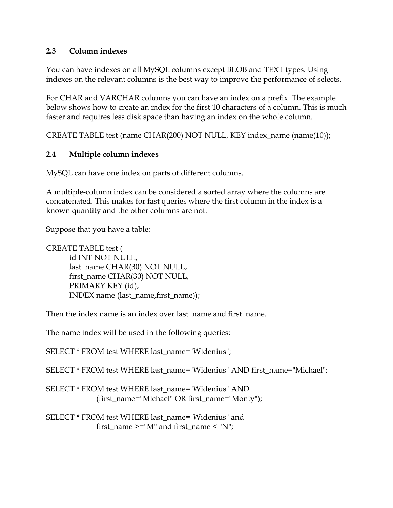#### <span id="page-12-0"></span>**2.3 Column indexes**

You can have indexes on all MySQL columns except BLOB and TEXT types. Using indexes on the relevant columns is the best way to improve the performance of selects.

For CHAR and VARCHAR columns you can have an index on a prefix. The example below shows how to create an index for the first 10 characters of a column. This is much faster and requires less disk space than having an index on the whole column.

CREATE TABLE test (name CHAR(200) NOT NULL, KEY index\_name (name(10));

#### **2.4 Multiple column indexes**

MySQL can have one index on parts of different columns.

A multiple-column index can be considered a sorted array where the columns are concatenated. This makes for fast queries where the first column in the index is a known quantity and the other columns are not.

Suppose that you have a table:

CREATE TABLE test ( id INT NOT NULL, last\_name CHAR(30) NOT NULL, first\_name CHAR(30) NOT NULL, PRIMARY KEY (id), INDEX name (last\_name,first\_name));

Then the index name is an index over last name and first name.

The name index will be used in the following queries:

SELECT \* FROM test WHERE last\_name="Widenius";

SELECT \* FROM test WHERE last\_name="Widenius" AND first\_name="Michael";

SELECT \* FROM test WHERE last\_name="Widenius" AND (first\_name="Michael" OR first\_name="Monty");

SELECT \* FROM test WHERE last\_name="Widenius" and first\_name  $\ge$ ="M" and first\_name  $\le$  "N";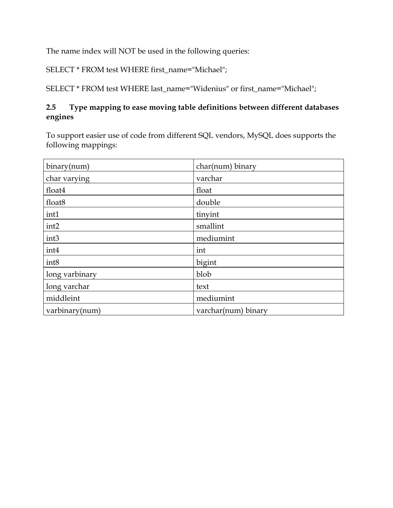<span id="page-13-0"></span>The name index will NOT be used in the following queries:

SELECT \* FROM test WHERE first\_name="Michael";

SELECT \* FROM test WHERE last\_name="Widenius" or first\_name="Michael";

## **2.5 Type mapping to ease moving table definitions between different databases engines**

To support easier use of code from different SQL vendors, MySQL does supports the following mappings:

| binary(num)        | char(num) binary    |
|--------------------|---------------------|
| char varying       | varchar             |
| float4             | float               |
| float <sub>8</sub> | double              |
| int1               | tinyint             |
| int <sub>2</sub>   | smallint            |
| int <sub>3</sub>   | mediumint           |
| int4               | int                 |
| int8               | bigint              |
| long varbinary     | blob                |
| long varchar       | text                |
| middleint          | mediumint           |
| varbinary(num)     | varchar(num) binary |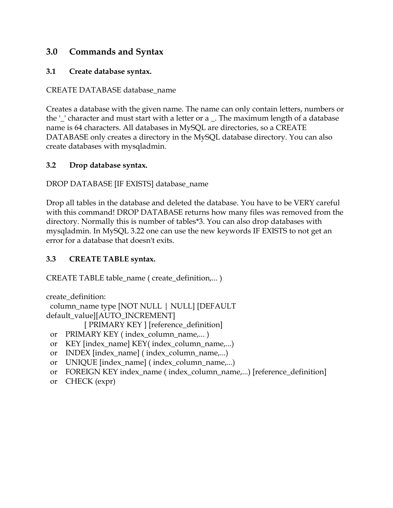## <span id="page-14-0"></span>**3.0 Commands and Syntax**

#### **3.1 Create database syntax.**

#### CREATE DATABASE database\_name

Creates a database with the given name. The name can only contain letters, numbers or the '\_' character and must start with a letter or a \_. The maximum length of a database name is 64 characters. All databases in MySQL are directories, so a CREATE DATABASE only creates a directory in the MySQL database directory. You can also create databases with mysqladmin.

#### **3.2 Drop database syntax.**

DROP DATABASE [IF EXISTS] database\_name

Drop all tables in the database and deleted the database. You have to be VERY careful with this command! DROP DATABASE returns how many files was removed from the directory. Normally this is number of tables\*3. You can also drop databases with mysqladmin. In MySQL 3.22 one can use the new keywords IF EXISTS to not get an error for a database that doesn't exits.

#### **3.3 CREATE TABLE syntax.**

CREATE TABLE table\_name ( create\_definition,... )

create\_definition:

```
 column_name type [NOT NULL | NULL] [DEFAULT
default_value][AUTO_INCREMENT]
```
[ PRIMARY KEY ] [reference\_definition]

- or PRIMARY KEY ( index\_column\_name,... )
- or KEY [index\_name] KEY( index\_column\_name,...)
- or INDEX [index\_name] ( index\_column\_name,...)
- or UNIQUE [index\_name] ( index\_column\_name,...)
- or FOREIGN KEY index\_name ( index\_column\_name,...) [reference\_definition]
- or CHECK (expr)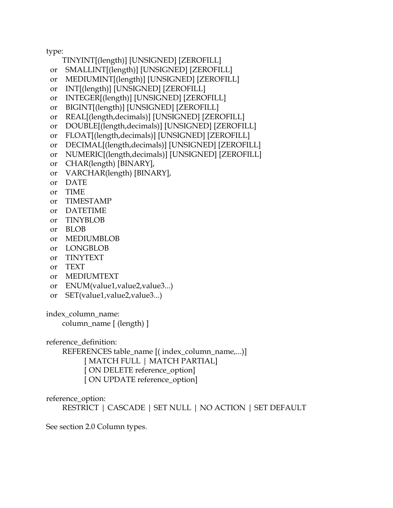type:

- TINYINT[(length)] [UNSIGNED] [ZEROFILL]
- or SMALLINT[(length)] [UNSIGNED] [ZEROFILL]
- or MEDIUMINT[(length)] [UNSIGNED] [ZEROFILL]
- or INT[(length)] [UNSIGNED] [ZEROFILL]
- or INTEGER[(length)] [UNSIGNED] [ZEROFILL]
- or BIGINT[(length)] [UNSIGNED] [ZEROFILL]
- or REAL[(length,decimals)] [UNSIGNED] [ZEROFILL]
- or DOUBLE[(length,decimals)] [UNSIGNED] [ZEROFILL]
- or FLOAT[(length,decimals)] [UNSIGNED] [ZEROFILL]
- or DECIMAL[(length,decimals)] [UNSIGNED] [ZEROFILL]
- or NUMERIC[(length,decimals)] [UNSIGNED] [ZEROFILL]
- or CHAR(length) [BINARY],
- or VARCHAR(length) [BINARY],
- or DATE
- or TIME
- or TIMESTAMP
- or DATETIME
- or TINYBLOB
- or BLOB
- or MEDIUMBLOB
- or LONGBLOB
- or TINYTEXT
- or TEXT
- or MEDIUMTEXT
- or ENUM(value1,value2,value3...)
- or SET(value1,value2,value3...)

index\_column\_name:

column\_name [ (length) ]

reference\_definition:

 REFERENCES table\_name [( index\_column\_name,...)] [ MATCH FULL | MATCH PARTIAL] [ ON DELETE reference\_option] [ ON UPDATE reference\_option]

reference\_option:

RESTRICT | CASCADE | SET NULL | NO ACTION | SET DEFAULT

See section 2.0 Column types.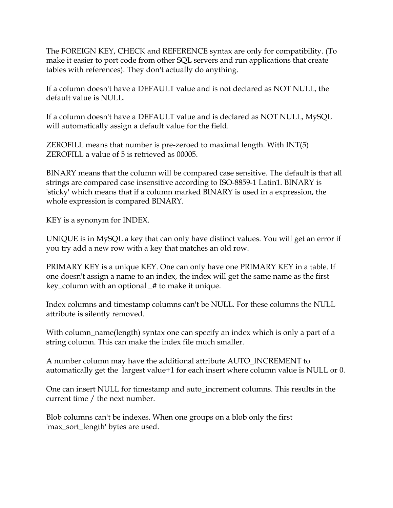The FOREIGN KEY, CHECK and REFERENCE syntax are only for compatibility. (To make it easier to port code from other SQL servers and run applications that create tables with references). They don't actually do anything.

If a column doesn't have a DEFAULT value and is not declared as NOT NULL, the default value is NULL.

If a column doesn't have a DEFAULT value and is declared as NOT NULL, MySQL will automatically assign a default value for the field.

ZEROFILL means that number is pre-zeroed to maximal length. With INT(5) ZEROFILL a value of 5 is retrieved as 00005.

BINARY means that the column will be compared case sensitive. The default is that all strings are compared case insensitive according to ISO-8859-1 Latin1. BINARY is 'sticky' which means that if a column marked BINARY is used in a expression, the whole expression is compared BINARY.

KEY is a synonym for INDEX.

UNIQUE is in MySQL a key that can only have distinct values. You will get an error if you try add a new row with a key that matches an old row.

PRIMARY KEY is a unique KEY. One can only have one PRIMARY KEY in a table. If one doesn't assign a name to an index, the index will get the same name as the first key\_column with an optional \_# to make it unique.

Index columns and timestamp columns can't be NULL. For these columns the NULL attribute is silently removed.

With column\_name(length) syntax one can specify an index which is only a part of a string column. This can make the index file much smaller.

A number column may have the additional attribute AUTO\_INCREMENT to automatically get the largest value+1 for each insert where column value is NULL or 0.

One can insert NULL for timestamp and auto\_increment columns. This results in the current time / the next number.

Blob columns can't be indexes. When one groups on a blob only the first 'max\_sort\_length' bytes are used.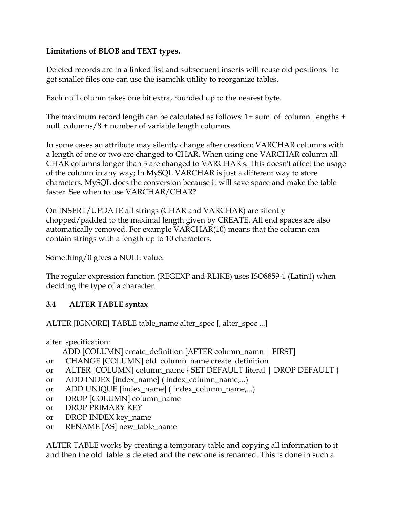## <span id="page-17-0"></span>**Limitations of BLOB and TEXT types.**

Deleted records are in a linked list and subsequent inserts will reuse old positions. To get smaller files one can use the isamchk utility to reorganize tables.

Each null column takes one bit extra, rounded up to the nearest byte.

The maximum record length can be calculated as follows: 1+ sum\_of\_column\_lengths + null\_columns/8 + number of variable length columns.

In some cases an attribute may silently change after creation: VARCHAR columns with a length of one or two are changed to CHAR. When using one VARCHAR column all CHAR columns longer than 3 are changed to VARCHAR's. This doesn't affect the usage of the column in any way; In MySQL VARCHAR is just a different way to store characters. MySQL does the conversion because it will save space and make the table faster. See when to use VARCHAR/CHAR?

On INSERT/UPDATE all strings (CHAR and VARCHAR) are silently chopped/padded to the maximal length given by CREATE. All end spaces are also automatically removed. For example VARCHAR(10) means that the column can contain strings with a length up to 10 characters.

Something/0 gives a NULL value.

The regular expression function (REGEXP and RLIKE) uses ISO8859-1 (Latin1) when deciding the type of a character.

## **3.4 ALTER TABLE syntax**

ALTER [IGNORE] TABLE table\_name alter\_spec [, alter\_spec ...]

alter\_specification:

ADD [COLUMN] create\_definition [AFTER column\_namn | FIRST]

- or CHANGE [COLUMN] old\_column\_name create\_definition
- or ALTER [COLUMN] column\_name { SET DEFAULT literal | DROP DEFAULT }
- or ADD INDEX [index\_name] ( index\_column\_name,...)
- or ADD UNIQUE [index\_name] ( index\_column\_name,...)
- or DROP [COLUMN] column\_name
- or DROP PRIMARY KEY
- or DROP INDEX key\_name
- or RENAME [AS] new\_table\_name

ALTER TABLE works by creating a temporary table and copying all information to it and then the old table is deleted and the new one is renamed. This is done in such a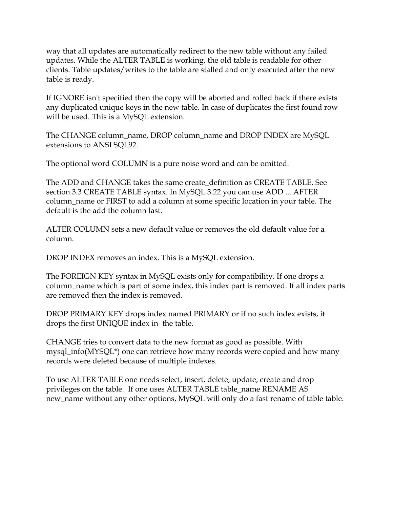way that all updates are automatically redirect to the new table without any failed updates. While the ALTER TABLE is working, the old table is readable for other clients. Table updates/writes to the table are stalled and only executed after the new table is ready.

If IGNORE isn't specified then the copy will be aborted and rolled back if there exists any duplicated unique keys in the new table. In case of duplicates the first found row will be used. This is a MySQL extension.

The CHANGE column\_name, DROP column\_name and DROP INDEX are MySQL extensions to ANSI SQL92.

The optional word COLUMN is a pure noise word and can be omitted.

The ADD and CHANGE takes the same create\_definition as CREATE TABLE. See section 3.3 CREATE TABLE syntax. In MySQL 3.22 you can use ADD ... AFTER column\_name or FIRST to add a column at some specific location in your table. The default is the add the column last.

ALTER COLUMN sets a new default value or removes the old default value for a column.

DROP INDEX removes an index. This is a MySQL extension.

The FOREIGN KEY syntax in MySQL exists only for compatibility. If one drops a column\_name which is part of some index, this index part is removed. If all index parts are removed then the index is removed.

DROP PRIMARY KEY drops index named PRIMARY or if no such index exists, it drops the first UNIQUE index in the table.

CHANGE tries to convert data to the new format as good as possible. With mysql\_info(MYSQL\*) one can retrieve how many records were copied and how many records were deleted because of multiple indexes.

To use ALTER TABLE one needs select, insert, delete, update, create and drop privileges on the table. If one uses ALTER TABLE table\_name RENAME AS new\_name without any other options, MySQL will only do a fast rename of table table.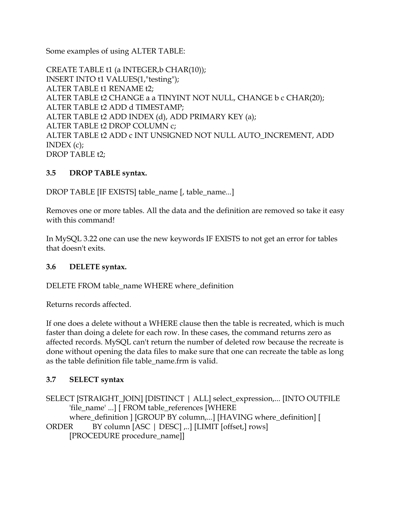<span id="page-19-0"></span>Some examples of using ALTER TABLE:

CREATE TABLE t1 (a INTEGER,b CHAR(10)); INSERT INTO t1 VALUES(1,"testing"); ALTER TABLE t1 RENAME t2; ALTER TABLE t2 CHANGE a a TINYINT NOT NULL, CHANGE b c CHAR(20); ALTER TABLE t2 ADD d TIMESTAMP; ALTER TABLE t2 ADD INDEX (d), ADD PRIMARY KEY (a); ALTER TABLE t2 DROP COLUMN c; ALTER TABLE t2 ADD c INT UNSIGNED NOT NULL AUTO\_INCREMENT, ADD INDEX (c); DROP TABLE t2;

## **3.5 DROP TABLE syntax.**

DROP TABLE [IF EXISTS] table\_name [, table\_name...]

Removes one or more tables. All the data and the definition are removed so take it easy with this command!

In MySQL 3.22 one can use the new keywords IF EXISTS to not get an error for tables that doesn't exits.

#### **3.6 DELETE syntax.**

DELETE FROM table\_name WHERE where\_definition

Returns records affected.

If one does a delete without a WHERE clause then the table is recreated, which is much faster than doing a delete for each row. In these cases, the command returns zero as affected records. MySQL can't return the number of deleted row because the recreate is done without opening the data files to make sure that one can recreate the table as long as the table definition file table\_name.frm is valid.

## **3.7 SELECT syntax**

SELECT [STRAIGHT\_JOIN] [DISTINCT | ALL] select\_expression,... [INTO OUTFILE 'file\_name' ...] [ FROM table\_references [WHERE where\_definition ] [GROUP BY column,...] [HAVING where\_definition] [ ORDER BY column [ASC | DESC] ,..] [LIMIT [offset,] rows] [PROCEDURE procedure\_name]]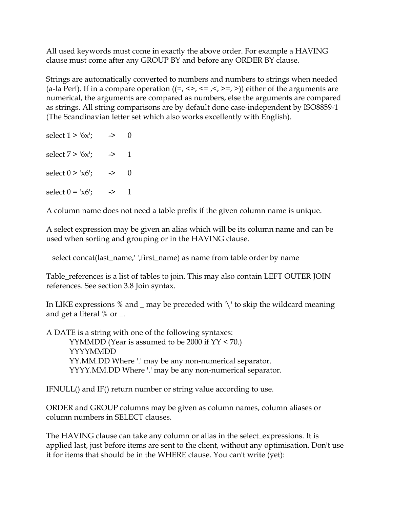All used keywords must come in exactly the above order. For example a HAVING clause must come after any GROUP BY and before any ORDER BY clause.

Strings are automatically converted to numbers and numbers to strings when needed (a-la Perl). If in a compare operation  $((=, \leq, \leq, \leq, \geq)$ ) either of the arguments are numerical, the arguments are compared as numbers, else the arguments are compared as strings. All string comparisons are by default done case-independent by ISO8859-1 (The Scandinavian letter set which also works excellently with English).

| select $1 > 6x$ ; | -> |                |  |
|-------------------|----|----------------|--|
| select $7 > 6x$ ; | -> | $\overline{1}$ |  |
| select $0 > x6$ ; | -> | 0              |  |
| select $0 = x6$ ; | -> |                |  |

A column name does not need a table prefix if the given column name is unique.

A select expression may be given an alias which will be its column name and can be used when sorting and grouping or in the HAVING clause.

select concat(last\_name,' ',first\_name) as name from table order by name

Table\_references is a list of tables to join. This may also contain LEFT OUTER JOIN references. See section 3.8 Join syntax.

In LIKE expressions % and \_ may be preceded with '\' to skip the wildcard meaning and get a literal % or \_.

A DATE is a string with one of the following syntaxes: YYMMDD (Year is assumed to be 2000 if YY < 70.) YYYYMMDD YY.MM.DD Where '.' may be any non-numerical separator. YYYY.MM.DD Where '.' may be any non-numerical separator.

IFNULL() and IF() return number or string value according to use.

ORDER and GROUP columns may be given as column names, column aliases or column numbers in SELECT clauses.

The HAVING clause can take any column or alias in the select\_expressions. It is applied last, just before items are sent to the client, without any optimisation. Don't use it for items that should be in the WHERE clause. You can't write (yet):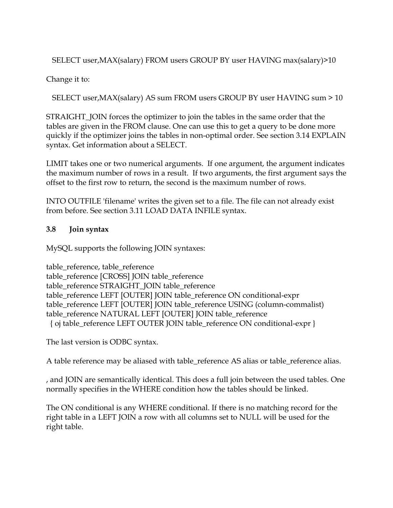<span id="page-21-0"></span>SELECT user,MAX(salary) FROM users GROUP BY user HAVING max(salary)>10

Change it to:

SELECT user,MAX(salary) AS sum FROM users GROUP BY user HAVING sum > 10

STRAIGHT\_JOIN forces the optimizer to join the tables in the same order that the tables are given in the FROM clause. One can use this to get a query to be done more quickly if the optimizer joins the tables in non-optimal order. See section 3.14 EXPLAIN syntax. Get information about a SELECT.

LIMIT takes one or two numerical arguments. If one argument, the argument indicates the maximum number of rows in a result. If two arguments, the first argument says the offset to the first row to return, the second is the maximum number of rows.

INTO OUTFILE 'filename' writes the given set to a file. The file can not already exist from before. See section 3.11 LOAD DATA INFILE syntax.

## **3.8 Join syntax**

MySQL supports the following JOIN syntaxes:

table\_reference, table\_reference table\_reference [CROSS] JOIN table\_reference table\_reference STRAIGHT\_JOIN table\_reference table\_reference LEFT [OUTER] JOIN table\_reference ON conditional-expr table\_reference LEFT [OUTER] JOIN table\_reference USING (column-commalist) table\_reference NATURAL LEFT [OUTER] JOIN table\_reference { oj table\_reference LEFT OUTER JOIN table\_reference ON conditional-expr }

The last version is ODBC syntax.

A table reference may be aliased with table\_reference AS alias or table\_reference alias.

, and JOIN are semantically identical. This does a full join between the used tables. One normally specifies in the WHERE condition how the tables should be linked.

The ON conditional is any WHERE conditional. If there is no matching record for the right table in a LEFT JOIN a row with all columns set to NULL will be used for the right table.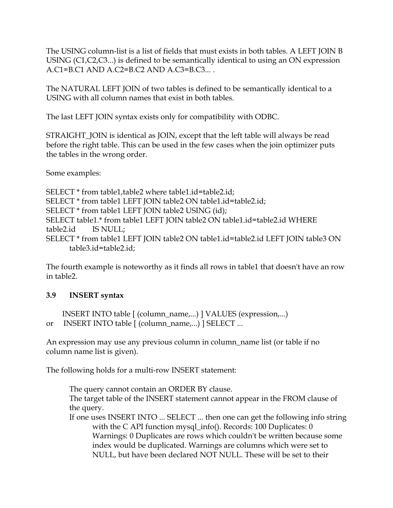<span id="page-22-0"></span>The USING column-list is a list of fields that must exists in both tables. A LEFT JOIN B USING (C1,C2,C3...) is defined to be semantically identical to using an ON expression A.C1=B.C1 AND A.C2=B.C2 AND A.C3=B.C3... .

The NATURAL LEFT JOIN of two tables is defined to be semantically identical to a USING with all column names that exist in both tables.

The last LEFT JOIN syntax exists only for compatibility with ODBC.

STRAIGHT\_JOIN is identical as JOIN, except that the left table will always be read before the right table. This can be used in the few cases when the join optimizer puts the tables in the wrong order.

Some examples:

SELECT \* from table1,table2 where table1.id=table2.id; SELECT \* from table1 LEFT JOIN table2 ON table1.id=table2.id; SELECT \* from table1 LEFT JOIN table2 USING (id); SELECT table1.\* from table1 LEFT JOIN table2 ON table1.id=table2.id WHERE table2.id IS NULL; SELECT \* from table1 LEFT JOIN table2 ON table1.id=table2.id LEFT JOIN table3 ON table3.id=table2.id;

The fourth example is noteworthy as it finds all rows in table1 that doesn't have an row in table2.

#### **3.9 INSERT syntax**

 INSERT INTO table [ (column\_name,...) ] VALUES (expression,...) or INSERT INTO table [ (column\_name,...) ] SELECT ...

An expression may use any previous column in column\_name list (or table if no column name list is given).

The following holds for a multi-row INSERT statement:

The query cannot contain an ORDER BY clause.

The target table of the INSERT statement cannot appear in the FROM clause of the query.

If one uses INSERT INTO ... SELECT ... then one can get the following info string with the C API function mysql\_info(). Records: 100 Duplicates: 0 Warnings: 0 Duplicates are rows which couldn't be written because some index would be duplicated. Warnings are columns which were set to NULL, but have been declared NOT NULL. These will be set to their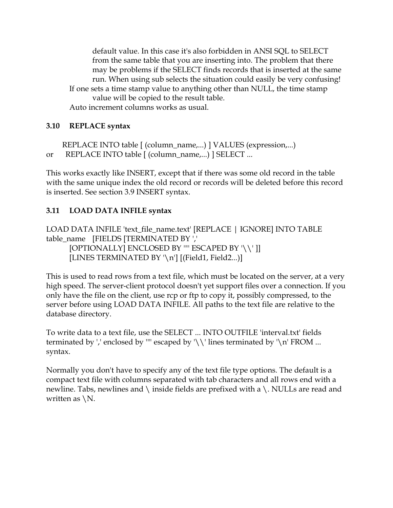<span id="page-23-0"></span>default value. In this case it's also forbidden in ANSI SQL to SELECT from the same table that you are inserting into. The problem that there may be problems if the SELECT finds records that is inserted at the same run. When using sub selects the situation could easily be very confusing! If one sets a time stamp value to anything other than NULL, the time stamp value will be copied to the result table. Auto increment columns works as usual.

#### **3.10 REPLACE syntax**

 REPLACE INTO table [ (column\_name,...) ] VALUES (expression,...) or REPLACE INTO table [ (column\_name,...) ] SELECT ...

This works exactly like INSERT, except that if there was some old record in the table with the same unique index the old record or records will be deleted before this record is inserted. See section 3.9 INSERT syntax.

#### **3.11 LOAD DATA INFILE syntax**

LOAD DATA INFILE 'text\_file\_name.text' [REPLACE | IGNORE] INTO TABLE table\_name [FIELDS [TERMINATED BY ','

[OPTIONALLY] ENCLOSED BY '"' ESCAPED BY '\\' ]] [LINES TERMINATED BY '\n'] [(Field1, Field2...)]

This is used to read rows from a text file, which must be located on the server, at a very high speed. The server-client protocol doesn't yet support files over a connection. If you only have the file on the client, use rcp or ftp to copy it, possibly compressed, to the server before using LOAD DATA INFILE. All paths to the text file are relative to the database directory.

To write data to a text file, use the SELECT ... INTO OUTFILE 'interval.txt' fields terminated by ',' enclosed by '''' escaped by ' $\setminus \setminus \setminus$ ' lines terminated by ' $\setminus n'$  FROM ... syntax.

Normally you don't have to specify any of the text file type options. The default is a compact text file with columns separated with tab characters and all rows end with a newline. Tabs, newlines and \ inside fields are prefixed with a \. NULLs are read and written as  $\mathcal{N}$ .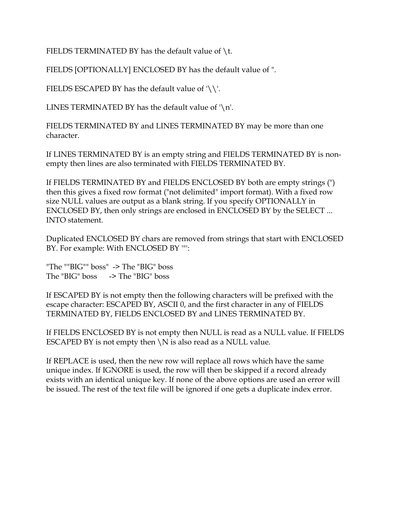FIELDS TERMINATED BY has the default value of  $\iota$ .

FIELDS [OPTIONALLY] ENCLOSED BY has the default value of ".

FIELDS ESCAPED BY has the default value of  $\setminus \setminus$ .

LINES TERMINATED BY has the default value of  $\ln$ .

FIELDS TERMINATED BY and LINES TERMINATED BY may be more than one character.

If LINES TERMINATED BY is an empty string and FIELDS TERMINATED BY is nonempty then lines are also terminated with FIELDS TERMINATED BY.

If FIELDS TERMINATED BY and FIELDS ENCLOSED BY both are empty strings (") then this gives a fixed row format ("not delimited" import format). With a fixed row size NULL values are output as a blank string. If you specify OPTIONALLY in ENCLOSED BY, then only strings are enclosed in ENCLOSED BY by the SELECT ... INTO statement.

Duplicated ENCLOSED BY chars are removed from strings that start with ENCLOSED BY. For example: With ENCLOSED BY '"':

"The ""BIG"" boss" -> The "BIG" boss The "BIG" boss -> The "BIG" boss

If ESCAPED BY is not empty then the following characters will be prefixed with the escape character: ESCAPED BY, ASCII 0, and the first character in any of FIELDS TERMINATED BY, FIELDS ENCLOSED BY and LINES TERMINATED BY.

If FIELDS ENCLOSED BY is not empty then NULL is read as a NULL value. If FIELDS ESCAPED BY is not empty then  $\N$  is also read as a NULL value.

If REPLACE is used, then the new row will replace all rows which have the same unique index. If IGNORE is used, the row will then be skipped if a record already exists with an identical unique key. If none of the above options are used an error will be issued. The rest of the text file will be ignored if one gets a duplicate index error.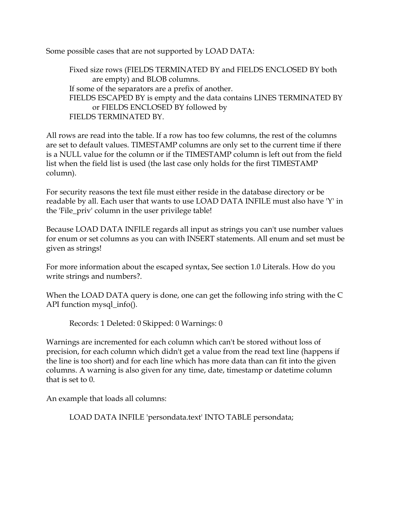Some possible cases that are not supported by LOAD DATA:

Fixed size rows (FIELDS TERMINATED BY and FIELDS ENCLOSED BY both are empty) and BLOB columns. If some of the separators are a prefix of another. FIELDS ESCAPED BY is empty and the data contains LINES TERMINATED BY or FIELDS ENCLOSED BY followed by FIELDS TERMINATED BY.

All rows are read into the table. If a row has too few columns, the rest of the columns are set to default values. TIMESTAMP columns are only set to the current time if there is a NULL value for the column or if the TIMESTAMP column is left out from the field list when the field list is used (the last case only holds for the first TIMESTAMP column).

For security reasons the text file must either reside in the database directory or be readable by all. Each user that wants to use LOAD DATA INFILE must also have 'Y' in the 'File\_priv' column in the user privilege table!

Because LOAD DATA INFILE regards all input as strings you can't use number values for enum or set columns as you can with INSERT statements. All enum and set must be given as strings!

For more information about the escaped syntax, See section 1.0 Literals. How do you write strings and numbers?.

When the LOAD DATA query is done, one can get the following info string with the C API function mysql\_info().

Records: 1 Deleted: 0 Skipped: 0 Warnings: 0

Warnings are incremented for each column which can't be stored without loss of precision, for each column which didn't get a value from the read text line (happens if the line is too short) and for each line which has more data than can fit into the given columns. A warning is also given for any time, date, timestamp or datetime column that is set to 0.

An example that loads all columns:

LOAD DATA INFILE 'persondata.text' INTO TABLE persondata;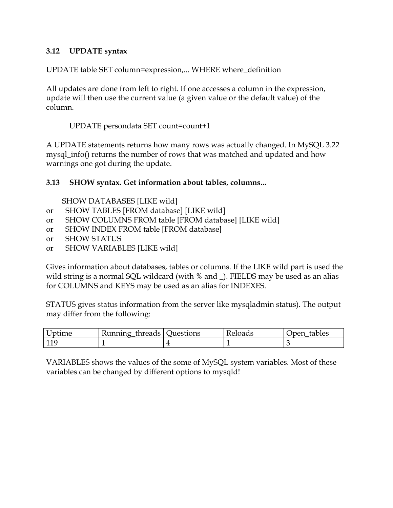#### <span id="page-26-0"></span>**3.12 UPDATE syntax**

UPDATE table SET column=expression,... WHERE where\_definition

All updates are done from left to right. If one accesses a column in the expression, update will then use the current value (a given value or the default value) of the column.

UPDATE persondata SET count=count+1

A UPDATE statements returns how many rows was actually changed. In MySQL 3.22 mysql\_info() returns the number of rows that was matched and updated and how warnings one got during the update.

#### **3.13 SHOW syntax. Get information about tables, columns...**

- SHOW DATABASES [LIKE wild]
- or SHOW TABLES [FROM database] [LIKE wild]
- or SHOW COLUMNS FROM table [FROM database] [LIKE wild]
- or SHOW INDEX FROM table [FROM database]
- or SHOW STATUS
- or SHOW VARIABLES [LIKE wild]

Gives information about databases, tables or columns. If the LIKE wild part is used the wild string is a normal SQL wildcard (with % and \_). FIELDS may be used as an alias for COLUMNS and KEYS may be used as an alias for INDEXES.

STATUS gives status information from the server like mysqladmin status). The output may differ from the following:

| Uptime | ' Kunning_threads   Questions | <b>Reloads</b> | tables<br><i>r</i> oen |
|--------|-------------------------------|----------------|------------------------|
| 11(    |                               |                |                        |

VARIABLES shows the values of the some of MySQL system variables. Most of these variables can be changed by different options to mysqld!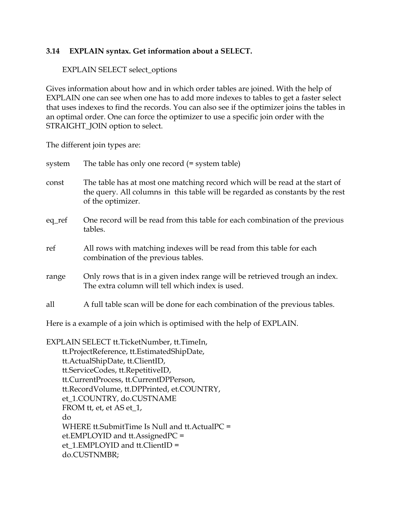#### <span id="page-27-0"></span>**3.14 EXPLAIN syntax. Get information about a SELECT.**

#### EXPLAIN SELECT select\_options

Gives information about how and in which order tables are joined. With the help of EXPLAIN one can see when one has to add more indexes to tables to get a faster select that uses indexes to find the records. You can also see if the optimizer joins the tables in an optimal order. One can force the optimizer to use a specific join order with the STRAIGHT\_JOIN option to select.

The different join types are:

| system | The table has only one record (= system table)                                                                                                                                      |
|--------|-------------------------------------------------------------------------------------------------------------------------------------------------------------------------------------|
| const  | The table has at most one matching record which will be read at the start of<br>the query. All columns in this table will be regarded as constants by the rest<br>of the optimizer. |
| eq_ref | One record will be read from this table for each combination of the previous<br>tables.                                                                                             |
| ref    | All rows with matching indexes will be read from this table for each<br>combination of the previous tables.                                                                         |
| range  | Only rows that is in a given index range will be retrieved trough an index.<br>The extra column will tell which index is used.                                                      |
| all    | A full table scan will be done for each combination of the previous tables.                                                                                                         |

Here is a example of a join which is optimised with the help of EXPLAIN.

EXPLAIN SELECT tt.TicketNumber, tt.TimeIn, tt.ProjectReference, tt.EstimatedShipDate, tt.ActualShipDate, tt.ClientID, tt.ServiceCodes, tt.RepetitiveID, tt.CurrentProcess, tt.CurrentDPPerson, tt.RecordVolume, tt.DPPrinted, et.COUNTRY, et\_1.COUNTRY, do.CUSTNAME FROM tt, et, et AS et\_1, do WHERE tt.SubmitTime Is Null and tt.ActualPC = et.EMPLOYID and tt.AssignedPC = et\_1.EMPLOYID and tt.ClientID = do.CUSTNMBR;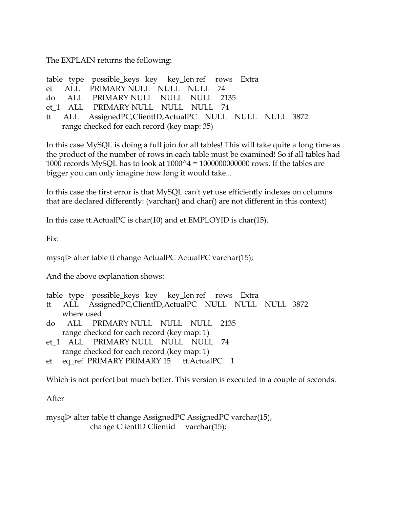The EXPLAIN returns the following:

|  | table type possible_keys key key_len ref rows Extra       |  |
|--|-----------------------------------------------------------|--|
|  | et ALL PRIMARY NULL NULL NULL 74                          |  |
|  | do ALL PRIMARY NULL NULL NULL 2135                        |  |
|  | et 1 ALL PRIMARY NULL NULL NULL 74                        |  |
|  | tt ALL AssignedPC, ClientID, ActualPC NULL NULL NULL 3872 |  |
|  | range checked for each record (key map: 35)               |  |

In this case MySQL is doing a full join for all tables! This will take quite a long time as the product of the number of rows in each table must be examined! So if all tables had 1000 records MySQL has to look at  $1000^4 = 1000000000000$  rows. If the tables are bigger you can only imagine how long it would take...

In this case the first error is that MySQL can't yet use efficiently indexes on columns that are declared differently: (varchar() and char() are not different in this context)

In this case tt.ActualPC is char(10) and et.EMPLOYID is char(15).

Fix:

mysql> alter table tt change ActualPC ActualPC varchar(15);

And the above explanation shows:

- table type possible\_keys key key\_len ref rows Extra
- tt ALL AssignedPC,ClientID,ActualPC NULL NULL NULL 3872 where used
- do ALL PRIMARY NULL NULL NULL 2135 range checked for each record (key map: 1)
- et\_1 ALL PRIMARY NULL NULL NULL 74 range checked for each record (key map: 1)
- et eq\_ref PRIMARY PRIMARY 15 tt.ActualPC 1

Which is not perfect but much better. This version is executed in a couple of seconds.

After

mysql> alter table tt change AssignedPC AssignedPC varchar(15), change ClientID Clientid varchar(15);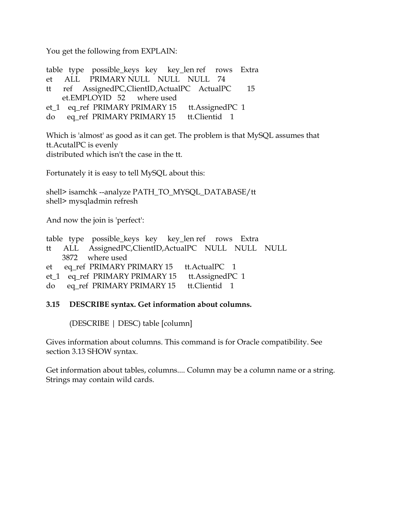<span id="page-29-0"></span>You get the following from EXPLAIN:

table type possible\_keys key key\_len ref rows Extra et ALL PRIMARY NULL NULL NULL 74 tt ref AssignedPC,ClientID,ActualPC ActualPC 15 et.EMPLOYID 52 where used et\_1 eq\_ref PRIMARY PRIMARY 15 tt.AssignedPC 1 do eq\_ref PRIMARY PRIMARY 15 tt.Clientid 1

Which is 'almost' as good as it can get. The problem is that MySQL assumes that tt.AcutalPC is evenly distributed which isn't the case in the tt.

Fortunately it is easy to tell MySQL about this:

shell> isamchk --analyze PATH\_TO\_MYSQL\_DATABASE/tt shell> mysqladmin refresh

And now the join is 'perfect':

|  | table type possible_keys key key_len ref rows Extra  |  |  |  |
|--|------------------------------------------------------|--|--|--|
|  | tt ALL AssignedPC, ClientID, ActualPC NULL NULL NULL |  |  |  |
|  | 3872 where used                                      |  |  |  |
|  | et eq_ref PRIMARY PRIMARY 15 tt.ActualPC 1           |  |  |  |
|  | et_1 eq_ref PRIMARY PRIMARY 15 tt.AssignedPC 1       |  |  |  |
|  | do eq_ref PRIMARY PRIMARY 15 tt. Clientid 1          |  |  |  |
|  |                                                      |  |  |  |

#### **3.15 DESCRIBE syntax. Get information about columns.**

(DESCRIBE | DESC) table [column]

Gives information about columns. This command is for Oracle compatibility. See section 3.13 SHOW syntax.

Get information about tables, columns.... Column may be a column name or a string. Strings may contain wild cards.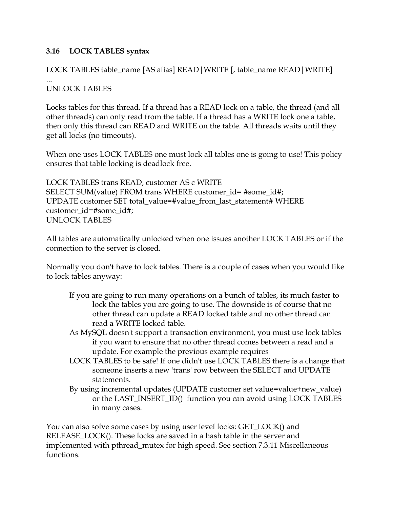## <span id="page-30-0"></span>**3.16 LOCK TABLES syntax**

## LOCK TABLES table\_name [AS alias] READ|WRITE [, table\_name READ|WRITE]

#### ... UNLOCK TABLES

Locks tables for this thread. If a thread has a READ lock on a table, the thread (and all other threads) can only read from the table. If a thread has a WRITE lock one a table, then only this thread can READ and WRITE on the table. All threads waits until they get all locks (no timeouts).

When one uses LOCK TABLES one must lock all tables one is going to use! This policy ensures that table locking is deadlock free.

LOCK TABLES trans READ, customer AS c WRITE SELECT SUM(value) FROM trans WHERE customer\_id= #some\_id#; UPDATE customer SET total\_value=#value\_from\_last\_statement# WHERE customer\_id=#some\_id#; UNLOCK TABLES

All tables are automatically unlocked when one issues another LOCK TABLES or if the connection to the server is closed.

Normally you don't have to lock tables. There is a couple of cases when you would like to lock tables anyway:

- If you are going to run many operations on a bunch of tables, its much faster to lock the tables you are going to use. The downside is of course that no other thread can update a READ locked table and no other thread can read a WRITE locked table.
- As MySQL doesn't support a transaction environment, you must use lock tables if you want to ensure that no other thread comes between a read and a update. For example the previous example requires
- LOCK TABLES to be safe! If one didn't use LOCK TABLES there is a change that someone inserts a new 'trans' row between the SELECT and UPDATE statements.
- By using incremental updates (UPDATE customer set value=value+new\_value) or the LAST\_INSERT\_ID() function you can avoid using LOCK TABLES in many cases.

You can also solve some cases by using user level locks: GET\_LOCK() and RELEASE\_LOCK(). These locks are saved in a hash table in the server and implemented with pthread\_mutex for high speed. See section 7.3.11 Miscellaneous functions.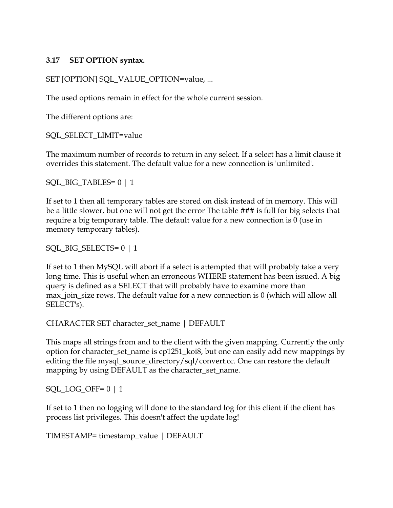#### <span id="page-31-0"></span>**3.17 SET OPTION syntax.**

```
SET [OPTION] SQL_VALUE_OPTION=value, ...
```
The used options remain in effect for the whole current session.

The different options are:

SQL\_SELECT\_LIMIT=value

The maximum number of records to return in any select. If a select has a limit clause it overrides this statement. The default value for a new connection is 'unlimited'.

SQL\_BIG\_TABLES= 0 | 1

If set to 1 then all temporary tables are stored on disk instead of in memory. This will be a little slower, but one will not get the error The table ### is full for big selects that require a big temporary table. The default value for a new connection is 0 (use in memory temporary tables).

SQL\_BIG\_SELECTS= 0 | 1

If set to 1 then MySQL will abort if a select is attempted that will probably take a very long time. This is useful when an erroneous WHERE statement has been issued. A big query is defined as a SELECT that will probably have to examine more than max\_join\_size rows. The default value for a new connection is 0 (which will allow all SELECT's).

CHARACTER SET character\_set\_name | DEFAULT

This maps all strings from and to the client with the given mapping. Currently the only option for character\_set\_name is cp1251\_koi8, but one can easily add new mappings by editing the file mysql\_source\_directory/sql/convert.cc. One can restore the default mapping by using DEFAULT as the character\_set\_name.

```
SQL\_LOG\_OFF= 0 | 1
```
If set to 1 then no logging will done to the standard log for this client if the client has process list privileges. This doesn't affect the update log!

TIMESTAMP= timestamp\_value | DEFAULT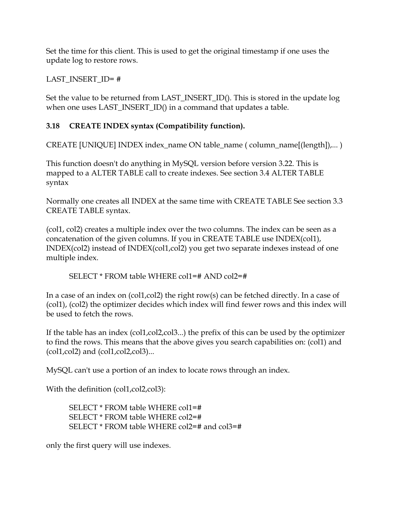<span id="page-32-0"></span>Set the time for this client. This is used to get the original timestamp if one uses the update log to restore rows.

#### LAST\_INSERT\_ID= #

Set the value to be returned from LAST\_INSERT\_ID(). This is stored in the update log when one uses LAST\_INSERT\_ID() in a command that updates a table.

## **3.18 CREATE INDEX syntax (Compatibility function).**

CREATE [UNIQUE] INDEX index\_name ON table\_name ( column\_name[(length]),... )

This function doesn't do anything in MySQL version before version 3.22. This is mapped to a ALTER TABLE call to create indexes. See section 3.4 ALTER TABLE syntax

Normally one creates all INDEX at the same time with CREATE TABLE See section 3.3 CREATE TABLE syntax.

(col1, col2) creates a multiple index over the two columns. The index can be seen as a concatenation of the given columns. If you in CREATE TABLE use INDEX(col1), INDEX(col2) instead of INDEX(col1,col2) you get two separate indexes instead of one multiple index.

SELECT \* FROM table WHERE col1=# AND col2=#

In a case of an index on (col1,col2) the right row(s) can be fetched directly. In a case of (col1), (col2) the optimizer decides which index will find fewer rows and this index will be used to fetch the rows.

If the table has an index (col1,col2,col3...) the prefix of this can be used by the optimizer to find the rows. This means that the above gives you search capabilities on: (col1) and (col1,col2) and (col1,col2,col3)...

MySQL can't use a portion of an index to locate rows through an index.

With the definition (col1, col2, col3):

SELECT \* FROM table WHERE col1=# SELECT \* FROM table WHERE col2=# SELECT \* FROM table WHERE col2=# and col3=#

only the first query will use indexes.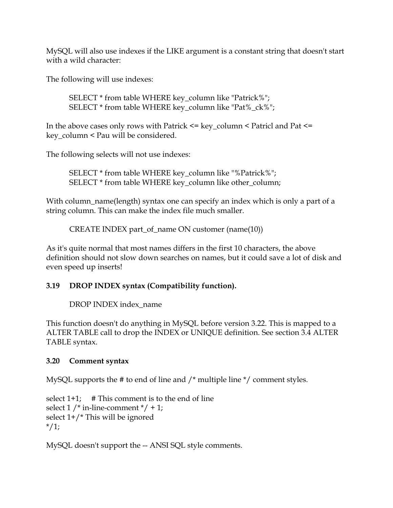<span id="page-33-0"></span>MySQL will also use indexes if the LIKE argument is a constant string that doesn't start with a wild character:

The following will use indexes:

SELECT \* from table WHERE key\_column like "Patrick%"; SELECT \* from table WHERE key\_column like "Pat%\_ck%";

In the above cases only rows with Patrick  $\leq$  key\_column  $\leq$  Patricl and Pat  $\leq$ key\_column < Pau will be considered.

The following selects will not use indexes:

SELECT \* from table WHERE key\_column like "%Patrick%"; SELECT \* from table WHERE key\_column like other\_column;

With column\_name(length) syntax one can specify an index which is only a part of a string column. This can make the index file much smaller.

CREATE INDEX part\_of\_name ON customer (name(10))

As it's quite normal that most names differs in the first 10 characters, the above definition should not slow down searches on names, but it could save a lot of disk and even speed up inserts!

#### **3.19 DROP INDEX syntax (Compatibility function).**

DROP INDEX index\_name

This function doesn't do anything in MySQL before version 3.22. This is mapped to a ALTER TABLE call to drop the INDEX or UNIQUE definition. See section 3.4 ALTER TABLE syntax.

#### **3.20 Comment syntax**

MySQL supports the # to end of line and /\* multiple line \*/ comment styles.

select  $1+1$ ; # This comment is to the end of line select  $1$  /\* in-line-comment \*/ + 1; select 1+/\* This will be ignored  $*/1;$ 

MySQL doesn't support the -- ANSI SQL style comments.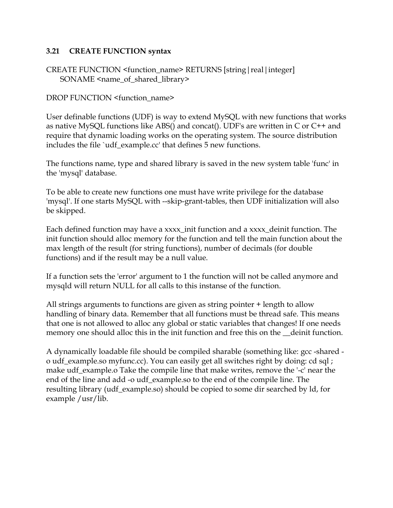#### <span id="page-34-0"></span>**3.21 CREATE FUNCTION syntax**

CREATE FUNCTION <function\_name> RETURNS [string|real|integer] SONAME <name\_of\_shared\_library>

DROP FUNCTION <function\_name>

User definable functions (UDF) is way to extend MySQL with new functions that works as native MySQL functions like ABS() and concat(). UDF's are written in C or C++ and require that dynamic loading works on the operating system. The source distribution includes the file `udf\_example.cc' that defines 5 new functions.

The functions name, type and shared library is saved in the new system table 'func' in the 'mysql' database.

To be able to create new functions one must have write privilege for the database 'mysql'. If one starts MySQL with --skip-grant-tables, then UDF initialization will also be skipped.

Each defined function may have a xxxx\_init function and a xxxx\_deinit function. The init function should alloc memory for the function and tell the main function about the max length of the result (for string functions), number of decimals (for double functions) and if the result may be a null value.

If a function sets the 'error' argument to 1 the function will not be called anymore and mysqld will return NULL for all calls to this instanse of the function.

All strings arguments to functions are given as string pointer + length to allow handling of binary data. Remember that all functions must be thread safe. This means that one is not allowed to alloc any global or static variables that changes! If one needs memory one should alloc this in the init function and free this on the \_\_deinit function.

A dynamically loadable file should be compiled sharable (something like: gcc -shared o udf\_example.so myfunc.cc). You can easily get all switches right by doing: cd sql ; make udf\_example.o Take the compile line that make writes, remove the '-c' near the end of the line and add -o udf\_example.so to the end of the compile line. The resulting library (udf\_example.so) should be copied to some dir searched by ld, for example /usr/lib.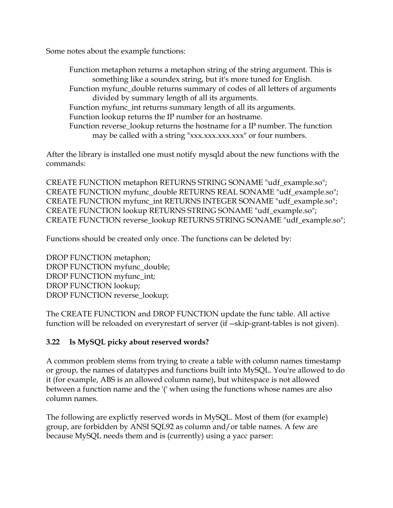<span id="page-35-0"></span>Some notes about the example functions:

Function metaphon returns a metaphon string of the string argument. This is something like a soundex string, but it's more tuned for English. Function myfunc\_double returns summary of codes of all letters of arguments divided by summary length of all its arguments. Function myfunc\_int returns summary length of all its arguments. Function lookup returns the IP number for an hostname. Function reverse\_lookup returns the hostname for a IP number. The function may be called with a string "xxx.xxx.xxx.xxx" or four numbers.

After the library is installed one must notify mysqld about the new functions with the commands:

CREATE FUNCTION metaphon RETURNS STRING SONAME "udf\_example.so"; CREATE FUNCTION myfunc\_double RETURNS REAL SONAME "udf\_example.so"; CREATE FUNCTION myfunc\_int RETURNS INTEGER SONAME "udf\_example.so"; CREATE FUNCTION lookup RETURNS STRING SONAME "udf\_example.so"; CREATE FUNCTION reverse\_lookup RETURNS STRING SONAME "udf\_example.so";

Functions should be created only once. The functions can be deleted by:

DROP FUNCTION metaphon; DROP FUNCTION myfunc\_double; DROP FUNCTION myfunc int; DROP FUNCTION lookup; DROP FUNCTION reverse\_lookup;

The CREATE FUNCTION and DROP FUNCTION update the func table. All active function will be reloaded on everyrestart of server (if --skip-grant-tables is not given).

## **3.22 Is MySQL picky about reserved words?**

A common problem stems from trying to create a table with column names timestamp or group, the names of datatypes and functions built into MySQL. You're allowed to do it (for example, ABS is an allowed column name), but whitespace is not allowed between a function name and the '(' when using the functions whose names are also column names.

The following are explictly reserved words in MySQL. Most of them (for example) group, are forbidden by ANSI SQL92 as column and/or table names. A few are because MySQL needs them and is (currently) using a yacc parser: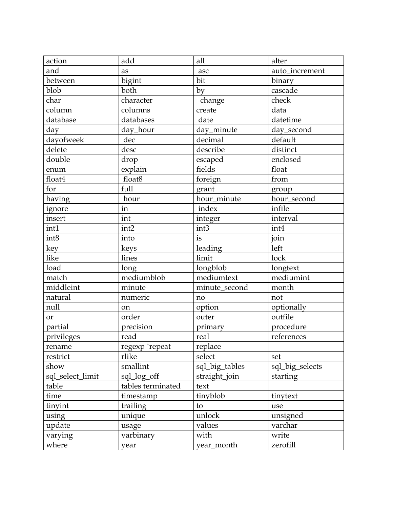| action           | add               | all            | alter           |
|------------------|-------------------|----------------|-----------------|
| and              | as                | asc            | auto_increment  |
| between          | bigint            | bit            | binary          |
| blob             | both              | by             | cascade         |
| char             | character         | change         | check           |
| column           | columns           | create         | data            |
| database         | databases         | date           | datetime        |
| day              | day_hour          | day_minute     | day_second      |
| dayofweek        | dec               | decimal        | default         |
| delete           | desc              | describe       | distinct        |
| double           | drop              | escaped        | enclosed        |
| enum             | explain           | fields         | float           |
| float4           | float8            | foreign        | from            |
| for              | full              | grant          | group           |
| having           | hour              | hour_minute    | hour_second     |
| ignore           | in                | index          | infile          |
| insert           | int               | integer        | interval        |
| int1             | int <sub>2</sub>  | int3           | int4            |
| int8             | into              | is             | join            |
| key              | keys              | leading        | left            |
| like             | lines             | limit          | lock            |
| load             | long              | longblob       | longtext        |
| match            | mediumblob        | mediumtext     | mediumint       |
| middleint        | minute            | minute_second  | month           |
| natural          | numeric           | no             | not             |
| null             | on                | option         | optionally      |
| or               | order             | outer          | outfile         |
| partial          | precision         | primary        | procedure       |
| privileges       | read              | real           | references      |
| rename           | regexp `repeat    | replace        |                 |
| restrict         | rlike             | select         | set             |
| show             | smallint          | sql_big_tables | sql_big_selects |
| sql_select_limit | sql_log_off       | straight_join  | starting        |
| table            | tables terminated | text           |                 |
| time             | timestamp         | tinyblob       | tinytext        |
| tinyint          | trailing          | to             | use             |
| using            | unique            | unlock         | unsigned        |
| update           | usage             | values         | varchar         |
| varying          | varbinary         | with           | write           |
| where            | year              | year_month     | zerofill        |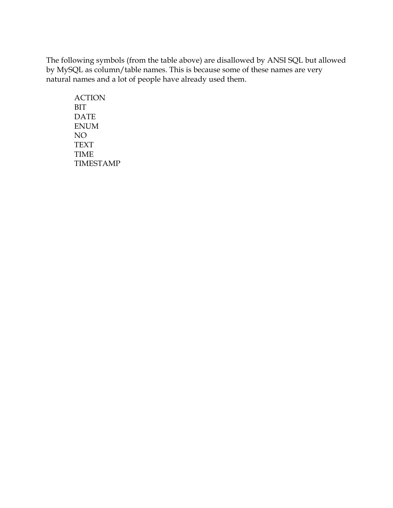The following symbols (from the table above) are disallowed by ANSI SQL but allowed by MySQL as column/table names. This is because some of these names are very natural names and a lot of people have already used them.

 ACTION BIT DATE ENUM NO TEXT TIME TIMESTAMP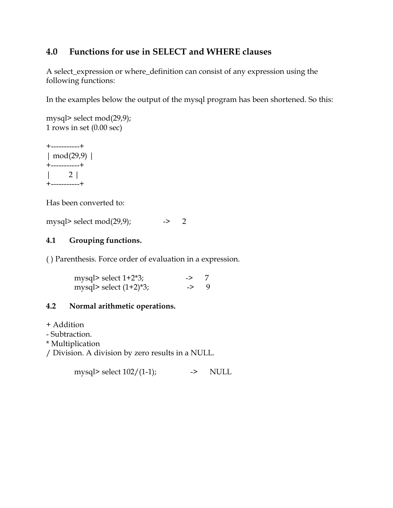## <span id="page-38-0"></span>**4.0 Functions for use in SELECT and WHERE clauses**

A select\_expression or where\_definition can consist of any expression using the following functions:

In the examples below the output of the mysql program has been shortened. So this:

```
mysql> select mod(29,9);
1 rows in set (0.00 sec)
```
+-----------+ | mod(29,9) | +-----------+ | 2 | +-----------+

Has been converted to:

mysql> select mod $(29,9)$ ;  $\longrightarrow$  2

#### **4.1 Grouping functions.**

( ) Parenthesis. Force order of evaluation in a expression.

| mysql> select $1+2*3$ ;  | $\rightarrow$   |  |
|--------------------------|-----------------|--|
| mysql> select $(1+2)*3;$ | $\rightarrow$ 9 |  |

#### **4.2 Normal arithmetic operations.**

+ Addition

- Subtraction.

\* Multiplication

/ Division. A division by zero results in a NULL.

mysql> select  $102/(1-1)$ ;  $\rightarrow$  NULL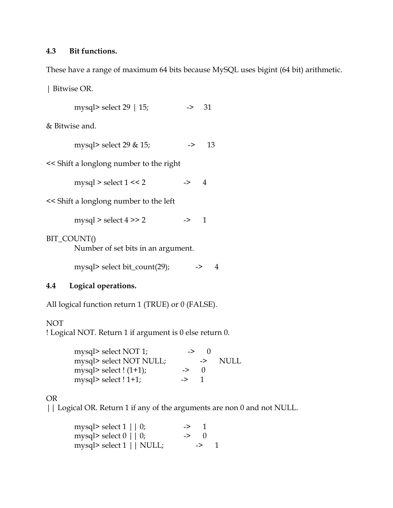#### <span id="page-39-0"></span>**4.3 Bit functions.**

These have a range of maximum 64 bits because MySQL uses bigint (64 bit) arithmetic.

| Bitwise OR.

mysql> select 29 | 15; -> 31

& Bitwise and.

mysql> select 29 & 15; -> 13

<< Shift a longlong number to the right

mysql > select  $1 \le 2$  -> 4

<< Shift a longlong number to the left

mysql > select  $4 \gg 2$  -> 1

#### BIT\_COUNT()

Number of set bits in an argument.

mysql> select bit\_count(29);  $\longrightarrow$  4

#### **4.4 Logical operations.**

All logical function return 1 (TRUE) or 0 (FALSE).

#### NOT

! Logical NOT. Return 1 if argument is 0 else return 0.

| mysql> select NOT 1;    | ->            | $\mathbf{U}$ |      |
|-------------------------|---------------|--------------|------|
| mysql> select NOT NULL; |               | ->           | NULL |
| mysql> select $(1+1)$ ; | $\rightarrow$ |              |      |
| mysql> select $!1+1;$   | ->            |              |      |

#### OR

| | Logical OR. Return 1 if any of the arguments are non 0 and not NULL.

| mysql> select $1 \mid \mid 0$ ;      | -> 1             |                 |  |
|--------------------------------------|------------------|-----------------|--|
| mysql> select $0 \mid \mid 0$ ;      | $\rightarrow$ () |                 |  |
| mysql> select $1 \mid \text{NULL}$ ; |                  | $\rightarrow$ 1 |  |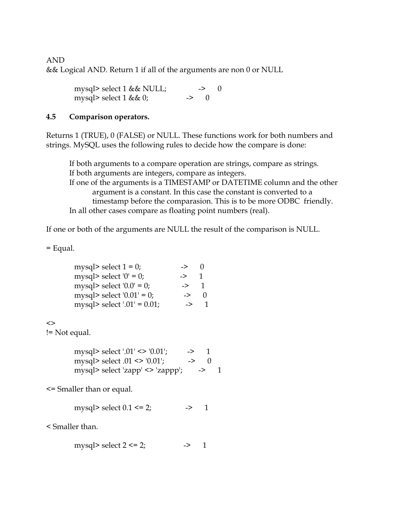<span id="page-40-0"></span>AND && Logical AND. Return 1 if all of the arguments are non 0 or NULL

> mysql> select  $1 & 1 & 1 \text{V}$ . -> 0 mysql> select 1 && 0; -> 0

#### **4.5 Comparison operators.**

Returns 1 (TRUE), 0 (FALSE) or NULL. These functions work for both numbers and strings. MySQL uses the following rules to decide how the compare is done:

If both arguments to a compare operation are strings, compare as strings. If both arguments are integers, compare as integers. If one of the arguments is a TIMESTAMP or DATETIME column and the other argument is a constant. In this case the constant is converted to a timestamp before the comparasion. This is to be more ODBC friendly. In all other cases compare as floating point numbers (real).

If one or both of the arguments are NULL the result of the comparison is NULL.

= Equal.

| mysql> select $1 = 0$ ;        | ->            |  |
|--------------------------------|---------------|--|
| mysql> select '0' = 0;         | $\Rightarrow$ |  |
| mysql> select $'0.0' = 0$ ;    | $\rightarrow$ |  |
| mysql> select $'0.01' = 0$ ;   | ->            |  |
| mysql> select '.01' = $0.01$ ; | $\rightarrow$ |  |

 $\leftrightarrow$ 

!= Not equal.

| mysql> select '.01' <> '0.01';   | -> |    |  |
|----------------------------------|----|----|--|
| mysql> select $.01$ <> '0.01';   | -> | -0 |  |
| mysql> select 'zapp' <> 'zappp'; |    | —> |  |

<= Smaller than or equal.

mysql> select  $0.1 \le 2$ ;  $\qquad \qquad - \ge 1$ 

< Smaller than.

mysql> select  $2 \le 2$ ;  $\qquad \qquad \rightarrow \qquad 1$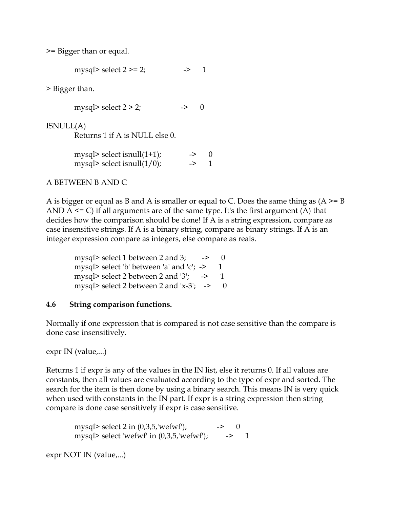<span id="page-41-0"></span>>= Bigger than or equal.

mysql> select  $2 \ge 2$ ;  $\implies 1$ 

> Bigger than.

mysql> select  $2 > 2$ ;  $\rightarrow$  0

ISNULL(A)

Returns 1 if A is NULL else 0.

| mysql> select isnull $(1+1)$ ; | $\rightarrow$ (1) |  |
|--------------------------------|-------------------|--|
| mysql> select isnull $(1/0)$ ; | $\rightarrow$     |  |

#### A BETWEEN B AND C

A is bigger or equal as B and A is smaller or equal to C. Does the same thing as  $(A \ge B)$ AND  $A \le C$ ) if all arguments are of the same type. It's the first argument (A) that decides how the comparison should be done! If A is a string expression, compare as case insensitive strings. If A is a binary string, compare as binary strings. If A is an integer expression compare as integers, else compare as reals.

mysql> select 1 between 2 and 3;  $\rightarrow$ mysql> select 'b' between 'a' and 'c';  $\rightarrow$ mysql> select 2 between 2 and '3';  $\rightarrow$ mysql> select 2 between 2 and  $x-3$ ; -> 0

#### **4.6 String comparison functions.**

Normally if one expression that is compared is not case sensitive than the compare is done case insensitively.

expr IN (value,...)

Returns 1 if expr is any of the values in the IN list, else it returns 0. If all values are constants, then all values are evaluated according to the type of expr and sorted. The search for the item is then done by using a binary search. This means IN is very quick when used with constants in the IN part. If expr is a string expression then string compare is done case sensitively if expr is case sensitive.

mysql> select 2 in  $(0,3,5,$ 'wefwf'); -> 0 mysql> select 'wefwf' in  $(0,3,5,$ 'wefwf');  $\longrightarrow$  1

expr NOT IN (value,...)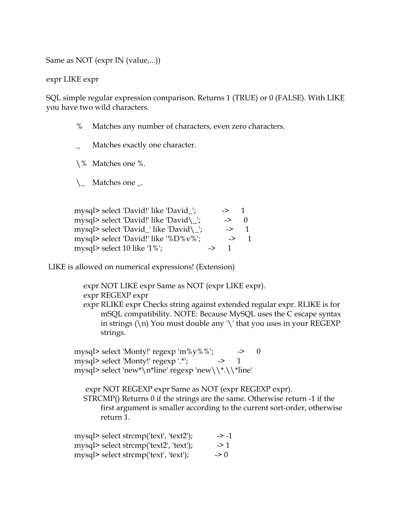Same as NOT (expr IN (value,...))

expr LIKE expr

SQL simple regular expression comparison. Returns 1 (TRUE) or 0 (FALSE). With LIKE you have two wild characters.

- % Matches any number of characters, even zero characters.
	- Matches exactly one character.

\% Matches one %.

 $\setminus$  Matches one \_.

| mysql> select 'David!' like 'David_';  |    | ->              |  |
|----------------------------------------|----|-----------------|--|
| mysql> select 'David!' like 'David\_'; |    | $\rightarrow$   |  |
| mysql> select 'David_' like 'David\_'; |    | $\rightarrow$ 1 |  |
| mysql> select 'David!' like '%D%v%';   |    | $\rightarrow$   |  |
| mysql> select 10 like '1%';            | -> |                 |  |

LIKE is allowed on numerical expressions! (Extension)

expr NOT LIKE expr Same as NOT (expr LIKE expr).

expr REGEXP expr

expr RLIKE expr Checks string against extended regular expr. RLIKE is for mSQL compatibility. NOTE: Because MySQL uses the C escape syntax in strings  $(\n)$  You must double any  $\lvert \cdot \rvert$  that you uses in your REGEXP strings.

mysql> select 'Monty!' regexp 'm%y%%';  $\longrightarrow$  0 mysql> select 'Monty!'  $regexp'$ :\*'; --> 1 mysql> select 'new\*\n\*line' regexp 'new\\\*.\\\*line'

expr NOT REGEXP expr Same as NOT (expr REGEXP expr). STRCMP() Returns 0 if the strings are the same. Otherwise return -1 if the first argument is smaller according to the current sort-order, otherwise return 1.

| mysql> select strcmp('text', 'text2'); | $\rightarrow -1$ |
|----------------------------------------|------------------|
| mysql> select strcmp('text2', 'text'); | $\rightarrow$ 1  |
| mysql> select strcmp('text', 'text');  | $\Rightarrow$ () |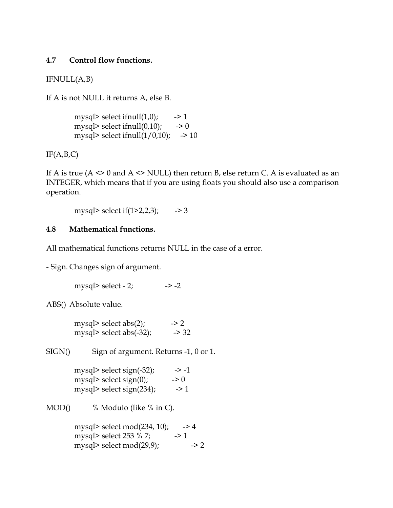#### <span id="page-43-0"></span>**4.7 Control flow functions.**

IFNULL(A,B)

If A is not NULL it returns A, else B.

mysql> select if  $null(1,0)$ ; -> 1 mysql> select if  $null(0,10)$ ; -> 0 mysql> select if  $null(1/0,10)$ ; -> 10

 $IF(A,B,C)$ 

If A is true ( $A \leq 0$  and  $A \leq NULL$ ) then return B, else return C. A is evaluated as an INTEGER, which means that if you are using floats you should also use a comparison operation.

mysql> select if(1>2,2,3);  $\longrightarrow$  3

#### **4.8 Mathematical functions.**

All mathematical functions returns NULL in the case of a error.

- Sign. Changes sign of argument.

mysql> select - 2;  $\rightarrow$  -> -2

ABS() Absolute value.

mysql> select abs(2);  $\rightarrow$  2 mysql> select abs(-32);  $\rightarrow$  32

SIGN() Sign of argument. Returns -1, 0 or 1.

mysql> select sign(-32);  $\longrightarrow -1$ mysql> select sign(0);  $\rightarrow 0$ mysql> select sign(234);  $\longrightarrow$  1

MOD() % Modulo (like % in C).

mysql> select mod(234, 10);  $\rightarrow$  4 mysql> select  $253 \%$  7; -> 1 mysql> select mod $(29,9)$ ; -> 2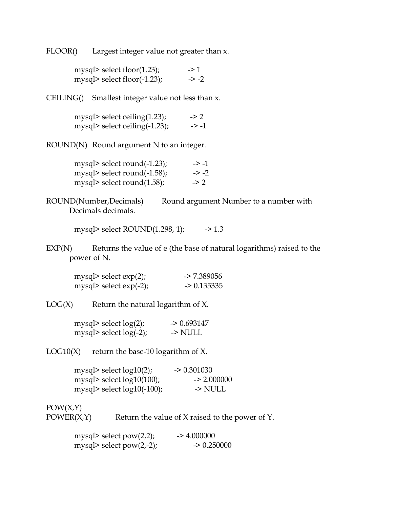FLOOR() Largest integer value not greater than x.

| mysql> select floor $(1.23)$ ; | $\geq$ 1         |
|--------------------------------|------------------|
| mysql> select floor(-1.23);    | $\rightarrow$ -2 |

CEILING() Smallest integer value not less than x.

| mysql> select ceiling $(1.23)$ ;  | $\rightarrow$ 2 |
|-----------------------------------|-----------------|
| mysql> select ceiling $(-1.23)$ ; | -> -1           |

ROUND(N) Round argument N to an integer.

| mysql> select round $(-1.23)$ ; | $\rightarrow$ -1 |
|---------------------------------|------------------|
| mysql> select round $(-1.58)$ ; | $\rightarrow -2$ |
| mysql> select round $(1.58)$ ;  | $\geq$ 2         |

ROUND(Number,Decimals) Round argument Number to a number with Decimals decimals.

mysql> select ROUND(1.298, 1); -> 1.3

EXP(N) Returns the value of e (the base of natural logarithms) raised to the power of N.

| mysql> select $exp(2)$ ;  | $-27.389056$ |
|---------------------------|--------------|
| mysql> select $exp(-2)$ ; | $-$ 0.135335 |

 $LOG(X)$  Return the natural logarithm of X.

| mysql> select $log(2)$ ;  | $-$ 0.693147 |
|---------------------------|--------------|
| mysql> select $log(-2)$ ; | -> NULL      |

LOG10 $(X)$  return the base-10 logarithm of X.

| mysql> select $log10(2)$ ;    | $-$ 0.301030       |
|-------------------------------|--------------------|
| mysql> select $log10(100)$ ;  | $\approx 2.000000$ |
| mysql> select $log10(-100)$ ; | -> NULL            |

 $POW(X,Y)$ 

POWER $(X,Y)$  Return the value of X raised to the power of Y.

| mysql> select $pow(2,2);$ | $-24.000000$ |
|---------------------------|--------------|
| mysql> select pow(2,-2);  | $-$ 0.250000 |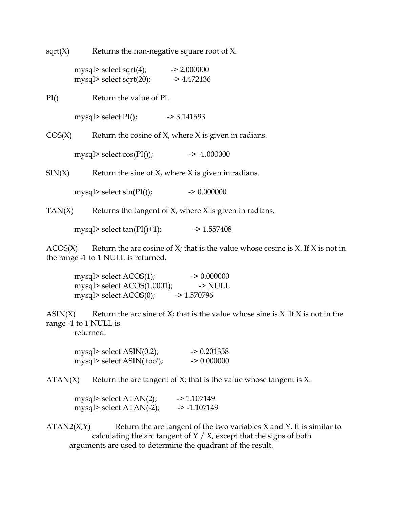sqrt $(X)$  Returns the non-negative square root of X.

| mysql> select sqrt $(4)$ ;  | $-2.000000$  |
|-----------------------------|--------------|
| mysql> select sqrt $(20)$ ; | $-24.472136$ |

PI() Return the value of PI.

mysql> select  $PI()$ ;  $\rightarrow$  3.141593

 $COS(X)$  Return the cosine of X, where X is given in radians.

mysql> select  $cos(PI());$  -> -1.000000

 $SIN(X)$  Return the sine of X, where X is given in radians.

mysql> select  $sin(PI());$  -> 0.000000

TAN $(X)$  Returns the tangent of  $X$ , where  $X$  is given in radians.

mysql> select  $tan(PI() + 1)$ ; -> 1.557408

 $ACOS(X)$  Return the arc cosine of X; that is the value whose cosine is X. If X is not in the range -1 to 1 NULL is returned.

mysql> select  $ACOS(1)$ ; -> 0.000000 mysql> select  $ACOS(1.0001)$ ;  $\longrightarrow$  NULL mysql> select ACOS(0); -> 1.570796

ASIN(X) Return the arc sine of  $X$ ; that is the value whose sine is X. If X is not in the range -1 to 1 NULL is returned.

| mysql> select $ASIN(0.2)$ ; | $-$ 0.201358 |
|-----------------------------|--------------|
| mysql> select ASIN('foo');  | $-$ 0.000000 |

 $ATAN(X)$  Return the arc tangent of X; that is the value whose tangent is X.

mysql> select ATAN(2); -> 1.107149 mysql> select ATAN(-2); -> -1.107149

 $ATAN2(X,Y)$  Return the arc tangent of the two variables X and Y. It is similar to calculating the arc tangent of  $Y / X$ , except that the signs of both arguments are used to determine the quadrant of the result.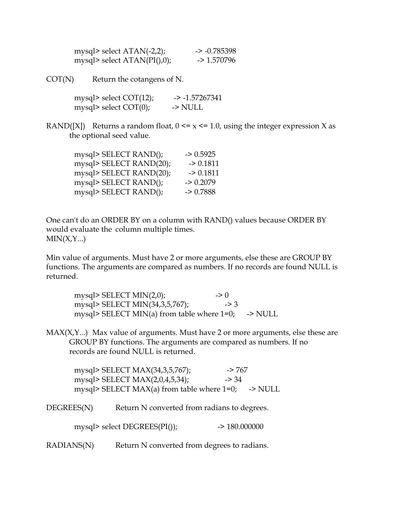| mysql> select $ATAN(-2,2)$ ;  | $\sim$ -0.785398 |
|-------------------------------|------------------|
| mysql> select $ATAN(PI(),0);$ | $-2$ 1.570796    |

 $\text{COT(N)}$  Return the cotangens of N.

| mysql> select $COT(12)$ ; | $-2 - 1.57267341$ |
|---------------------------|-------------------|
| mysql> select $COT(0)$ ;  | -> NULL           |

RAND([X]) Returns a random float,  $0 \le x \le 1.0$ , using the integer expression X as the optional seed value.

| mysql> SELECT RAND();   | $-$ 0.5925 |
|-------------------------|------------|
| mysql> SELECT RAND(20); | $-$ 0.1811 |
| mysql> SELECT RAND(20); | $-$ 0.1811 |
| mysql> SELECT RAND();   | $-$ 0.2079 |
| mysql> SELECT RAND();   | $-$ 0.7888 |
|                         |            |

One can't do an ORDER BY on a column with RAND() values because ORDER BY would evaluate the column multiple times.  $MIN(X, Y...)$ 

Min value of arguments. Must have 2 or more arguments, else these are GROUP BY functions. The arguments are compared as numbers. If no records are found NULL is returned.

| mysql> SELECT MIN $(2,0)$ ;                           | $\Rightarrow$ () |  |
|-------------------------------------------------------|------------------|--|
| mysql> SELECT MIN(34,3,5,767);                        | $\Rightarrow$ 3  |  |
| mysql> SELECT MIN(a) from table where $1=0$ ; -> NULL |                  |  |

MAX(X,Y...) Max value of arguments. Must have 2 or more arguments, else these are GROUP BY functions. The arguments are compared as numbers. If no records are found NULL is returned.

mysql> SELECT MAX(34,3,5,767); -> 767 mysql> SELECT MAX(2,0,4,5,34); -> 34 mysql> SELECT MAX(a) from table where  $1=0$ ; -> NULL

DEGREES(N) Return N converted from radians to degrees.

mysql> select DEGREES(PI()); -> 180.000000

RADIANS(N) Return N converted from degrees to radians.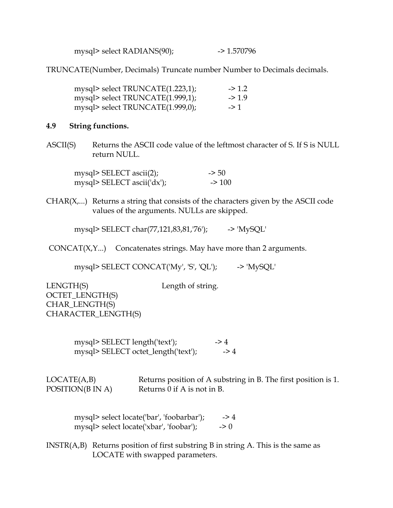mysql> select RADIANS(90); -> 1.570796

<span id="page-47-0"></span>TRUNCATE(Number, Decimals) Truncate number Number to Decimals decimals.

| mysql> select TRUNCATE(1.223,1); | $\geq 1.2$ |
|----------------------------------|------------|
| mysql> select TRUNCATE(1.999,1); | $-21.9$    |
| mysql> select TRUNCATE(1.999,0); | $\geq$ 1   |

#### **4.9 String functions.**

ASCII(S) Returns the ASCII code value of the leftmost character of S. If S is NULL return NULL.

| mysql> SELECT ascii(2);    | $\approx$ 50 |
|----------------------------|--------------|
| mysql> SELECT ascii('dx'); | $\geq 100$   |

 $CHAR(X,...)$  Returns a string that consists of the characters given by the ASCII code values of the arguments. NULLs are skipped.

mysql> SELECT char(77,121,83,81,'76'); -> 'MySQL'

CONCAT(X,Y...) Concatenates strings. May have more than 2 arguments.

mysql> SELECT CONCAT('My', 'S', 'QL'); -> 'MySQL'

LENGTH(S) Length of string. OCTET\_LENGTH(S) CHAR\_LENGTH(S) CHARACTER\_LENGTH(S)

> mysql> SELECT length('text'); -> 4<br>mysql> SELECT octet length('text'); -> 4 mysql> SELECT octet\_length('text');

LOCATE(A,B) Returns position of A substring in B. The first position is 1. POSITION( $B \text{ IN } A$ ) Returns 0 if  $A$  is not in  $B$ .

mysql> select locate('bar', 'foobarbar');  $\longrightarrow$  4 mysql> select locate('xbar', 'foobar');  $\longrightarrow 0$ 

INSTR(A,B) Returns position of first substring B in string A. This is the same as LOCATE with swapped parameters.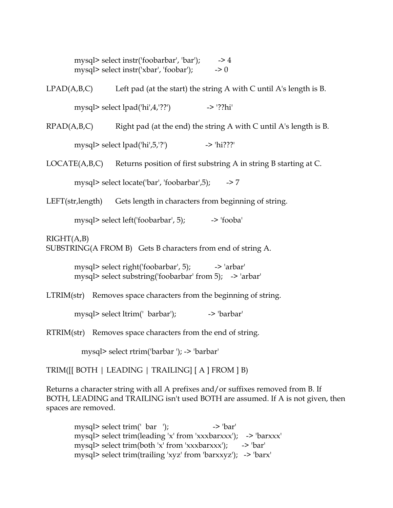mysql> select instr('foobarbar', 'bar');  $\longrightarrow$  4 mysql> select instr('xbar', 'foobar');  $\longrightarrow 0$ 

 $LPAD(A, B, C)$  Left pad (at the start) the string A with C until A's length is B.

mysql> select  $\text{lpad}(\text{hi}'A,\text{??'})$  -> '??hi'

 $RPAD(A,B,C)$  Right pad (at the end) the string A with C until A's length is B. mysql> select lpad('hi',5,'?')  $\rightarrow$  'hi???'

LOCATE(A,B,C) Returns position of first substring A in string B starting at C.

mysql> select locate('bar', 'foobarbar',5);  $\rightarrow$  7

LEFT(str, length) Gets length in characters from beginning of string.

mysql> select left('foobarbar', 5); -> 'fooba'

 $RIGHT(A,B)$ 

SUBSTRING(A FROM B) Gets B characters from end of string A.

mysql> select right('foobarbar', 5); -> 'arbar' mysql> select substring('foobarbar' from 5); -> 'arbar'

LTRIM(str) Removes space characters from the beginning of string.

mysql> select ltrim(' barbar'); -> 'barbar'

RTRIM(str) Removes space characters from the end of string.

mysql> select rtrim('barbar '); -> 'barbar'

TRIM([[ BOTH | LEADING | TRAILING] [ A ] FROM ] B)

Returns a character string with all A prefixes and/or suffixes removed from B. If BOTH, LEADING and TRAILING isn't used BOTH are assumed. If A is not given, then spaces are removed.

mysql> select trim(' bar ');  $\longrightarrow$  'bar' mysql> select trim(leading 'x' from 'xxxbarxxx'); -> 'barxxx' mysql> select trim(both 'x' from 'xxxbarxxx');  $\rightarrow$  'bar' mysql> select trim(trailing 'xyz' from 'barxxyz'); -> 'barx'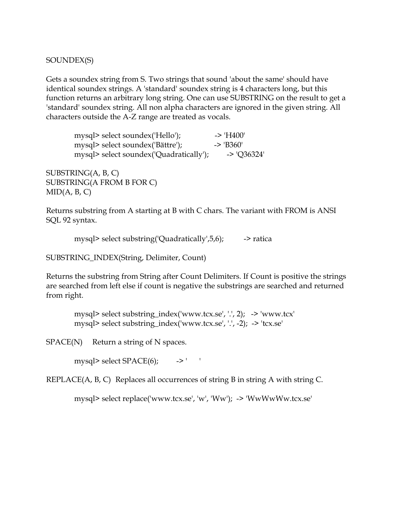SOUNDEX(S)

Gets a soundex string from S. Two strings that sound 'about the same' should have identical soundex strings. A 'standard' soundex string is 4 characters long, but this function returns an arbitrary long string. One can use SUBSTRING on the result to get a 'standard' soundex string. All non alpha characters are ignored in the given string. All characters outside the A-Z range are treated as vocals.

mysql> select soundex('Hello'); -> 'H400' mysql> select soundex('Bättre'); -> 'B360' mysql> select soundex('Quadratically'); -> 'Q36324'

SUBSTRING(A, B, C) SUBSTRING(A FROM B FOR C)  $MID(A, B, C)$ 

Returns substring from A starting at B with C chars. The variant with FROM is ANSI SQL 92 syntax.

mysql> select substring('Quadratically', $5,6$ );  $\longrightarrow$  ratica

SUBSTRING\_INDEX(String, Delimiter, Count)

Returns the substring from String after Count Delimiters. If Count is positive the strings are searched from left else if count is negative the substrings are searched and returned from right.

 mysql> select substring\_index('www.tcx.se', '.', 2); -> 'www.tcx' mysql> select substring\_index('www.tcx.se', '.', -2); -> 'tcx.se'

 $SPACE(N)$  Return a string of N spaces.

mysql> select SPACE(6); -> '

REPLACE(A, B, C) Replaces all occurrences of string B in string A with string C.

mysql> select replace('www.tcx.se', 'w', 'Ww'); -> 'WwWwWw.tcx.se'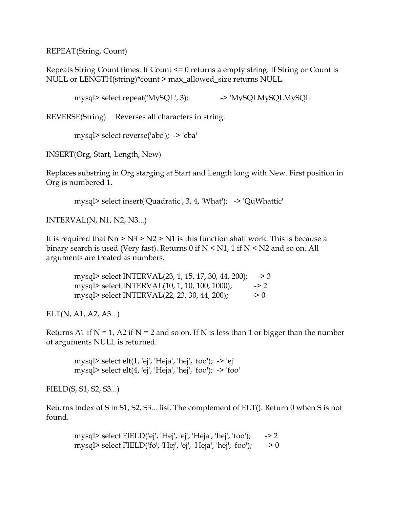REPEAT(String, Count)

Repeats String Count times. If Count <= 0 returns a empty string. If String or Count is NULL or LENGTH(string)\*count > max\_allowed\_size returns NULL.

mysql> select repeat('MySQL', 3); --> 'MySQLMySQLMySQL'

REVERSE(String) Reverses all characters in string.

mysql> select reverse('abc'); -> 'cba'

INSERT(Org, Start, Length, New)

Replaces substring in Org starging at Start and Length long with New. First position in Org is numbered 1.

mysql> select insert('Quadratic', 3, 4, 'What'); -> 'QuWhattic'

INTERVAL(N, N1, N2, N3...)

It is required that Nn > N3 > N2 > N1 is this function shall work. This is because a binary search is used (Very fast). Returns 0 if  $N \le N1$ , 1 if  $N \le N2$  and so on. All arguments are treated as numbers.

 mysql> select INTERVAL(23, 1, 15, 17, 30, 44, 200); -> 3 mysql> select INTERVAL(10, 1, 10, 100, 1000); -> 2 mysql> select INTERVAL $(22, 23, 30, 44, 200)$ ;  $\longrightarrow 0$ 

ELT(N, A1, A2, A3...)

Returns A1 if  $N = 1$ , A2 if  $N = 2$  and so on. If N is less than 1 or bigger than the number of arguments NULL is returned.

 mysql> select elt(1, 'ej', 'Heja', 'hej', 'foo'); -> 'ej' mysql> select elt(4, 'ej', 'Heja', 'hej', 'foo'); -> 'foo'

FIELD(S, S1, S2, S3...)

Returns index of S in S1, S2, S3... list. The complement of ELT(). Return 0 when S is not found.

mysql> select FIELD('ej', 'Hej', 'ej', 'Heja', 'hej', 'foo');  $\rightarrow$  2 mysql> select FIELD('fo', 'Hej', 'ej', 'Heja', 'hej', 'foo');  $\rightarrow$  0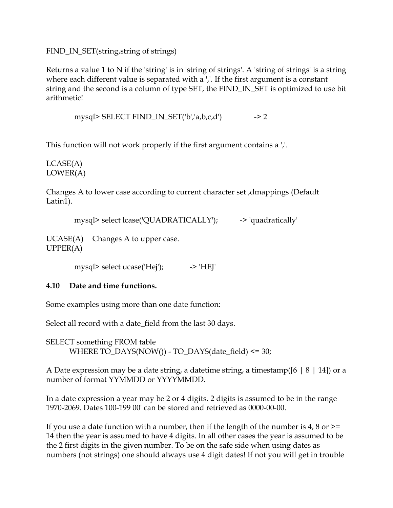<span id="page-51-0"></span>FIND\_IN\_SET(string, string of strings)

Returns a value 1 to N if the 'string' is in 'string of strings'. A 'string of strings' is a string where each different value is separated with a ','. If the first argument is a constant string and the second is a column of type SET, the FIND\_IN\_SET is optimized to use bit arithmetic!

mysql> SELECT FIND\_IN\_SET('b','a,b,c,d')  $\rightarrow$  2

This function will not work properly if the first argument contains a ','.

LCASE(A) LOWER(A)

Changes A to lower case according to current character set ,dmappings (Default Latin1).

```
mysql> select lcase('QUADRATICALLY'); - -> 'quadratically'
```
UCASE(A) Changes A to upper case. UPPER(A)

mysql> select ucase('Hej');  $\longrightarrow$  'HEJ'

#### **4.10 Date and time functions.**

Some examples using more than one date function:

Select all record with a date\_field from the last 30 days.

SELECT something FROM table WHERE TO\_DAYS(NOW()) - TO\_DAYS(date\_field) <= 30;

A Date expression may be a date string, a datetime string, a timestamp( $[6 \mid 8 \mid 14]$ ) or a number of format YYMMDD or YYYYMMDD.

In a date expression a year may be 2 or 4 digits. 2 digits is assumed to be in the range 1970-2069. Dates 100-199 00' can be stored and retrieved as 0000-00-00.

If you use a date function with a number, then if the length of the number is 4, 8 or  $\ge$ = 14 then the year is assumed to have 4 digits. In all other cases the year is assumed to be the 2 first digits in the given number. To be on the safe side when using dates as numbers (not strings) one should always use 4 digit dates! If not you will get in trouble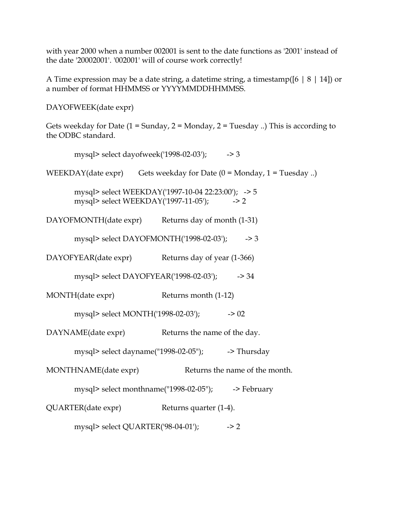with year 2000 when a number 002001 is sent to the date functions as '2001' instead of the date '20002001'. '002001' will of course work correctly!

A Time expression may be a date string, a datetime string, a timestamp( $[6 \mid 8 \mid 14]$ ) or a number of format HHMMSS or YYYYMMDDHHMMSS.

DAYOFWEEK(date expr)

Gets weekday for Date  $(1 =$  Sunday,  $2 =$  Monday,  $2 =$  Tuesday ...) This is according to the ODBC standard.

mysql> select dayofweek('1998-02-03'); - -> 3

WEEKDAY(date expr) Gets weekday for Date  $(0 = \text{Monday}, 1 = \text{Tuesday})$ .

 mysql> select WEEKDAY('1997-10-04 22:23:00'); -> 5 mysql> select WEEKDAY('1997-11-05'); -> 2

DAYOFMONTH(date expr) Returns day of month (1-31)

mysql> select DAYOFMONTH('1998-02-03'); -> 3

DAYOFYEAR(date expr) Returns day of year (1-366)

mysql> select DAYOFYEAR('1998-02-03'); - -> 34

MONTH(date expr) Returns month (1-12)

mysql> select MONTH('1998-02-03'); -> 02

DAYNAME(date expr) Returns the name of the day.

mysql> select dayname("1998-02-05");  $\longrightarrow$  Thursday

MONTHNAME(date expr) Returns the name of the month.

mysql> select monthname("1998-02-05"); -> February

QUARTER(date expr) Returns quarter (1-4).

mysql> select QUARTER('98-04-01'); -> 2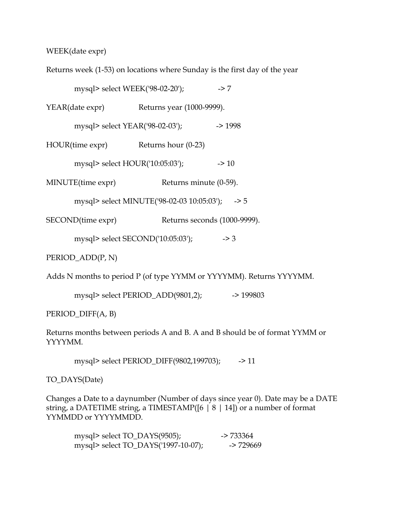WEEK(date expr)

Returns week (1-53) on locations where Sunday is the first day of the year

mysql> select WEEK('98-02-20'); -> 7

YEAR(date expr) Returns year (1000-9999).

mysql> select YEAR('98-02-03'); -> 1998

HOUR(time expr) Returns hour (0-23)

mysql> select HOUR('10:05:03'); -> 10

MINUTE(time expr) Returns minute (0-59).

mysql> select MINUTE('98-02-03 10:05:03'); -> 5

SECOND(time expr) Returns seconds (1000-9999).

mysql> select SECOND('10:05:03'); -> 3

PERIOD\_ADD(P, N)

Adds N months to period P (of type YYMM or YYYYMM). Returns YYYYMM.

mysql> select PERIOD\_ADD(9801,2); -> 199803

PERIOD\_DIFF(A, B)

Returns months between periods A and B. A and B should be of format YYMM or YYYYMM.

mysql> select PERIOD\_DIFF(9802,199703); -> 11

TO\_DAYS(Date)

Changes a Date to a daynumber (Number of days since year 0). Date may be a DATE string, a DATETIME string, a TIMESTAMP( $[6 \mid 8 \mid 14]$ ) or a number of format YYMMDD or YYYYMMDD.

mysql> select TO\_DAYS(9505); -> 733364 mysql> select TO\_DAYS('1997-10-07); --> 729669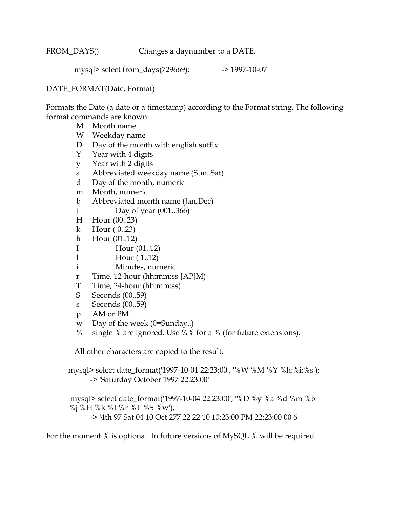FROM\_DAYS() Changes a daynumber to a DATE.

mysql> select from\_days(729669); - -> 1997-10-07

#### DATE\_FORMAT(Date, Format)

Formats the Date (a date or a timestamp) according to the Format string. The following format commands are known:

- M Month name
- W Weekday name
- D Day of the month with english suffix
- Y Year with 4 digits
- y Year with 2 digits
- a Abbreviated weekday name (Sun..Sat)
- d Day of the month, numeric
- m Month, numeric
- b Abbreviated month name (Jan.Dec)
- j Day of year (001..366)
- H Hour (00..23)
- k Hour ( 0..23)
- h Hour (01..12)
- I Hour (01..12)
- l Hour ( 1..12)
- i Minutes, numeric
- r Time, 12-hour (hh:mm:ss [AP]M)
- T Time, 24-hour (hh:mm:ss)
- S Seconds (00..59)
- s Seconds (00..59)
- p AM or PM
- w Day of the week (0=Sunday..)
- % single % are ignored. Use %% for a % (for future extensions).

All other characters are copied to the result.

 mysql> select date\_format('1997-10-04 22:23:00', '%W %M %Y %h:%i:%s'); -> 'Saturday October 1997 22:23:00'

 mysql> select date\_format('1997-10-04 22:23:00', '%D %y %a %d %m %b %j %H %k %I %r %T %S %w'); -> '4th 97 Sat 04 10 Oct 277 22 22 10 10:23:00 PM 22:23:00 00 6'

For the moment % is optional. In future versions of MySQL % will be required.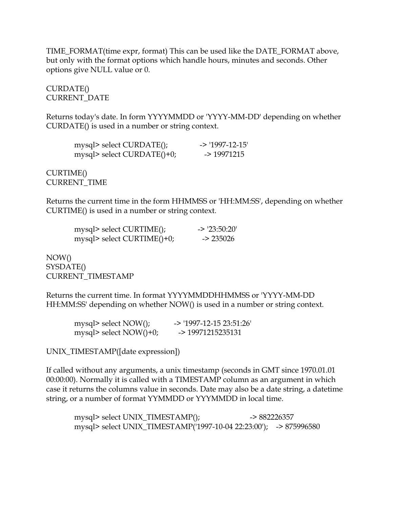TIME\_FORMAT(time expr, format) This can be used like the DATE\_FORMAT above, but only with the format options which handle hours, minutes and seconds. Other options give NULL value or 0.

CURDATE() CURRENT\_DATE

Returns today's date. In form YYYYMMDD or 'YYYY-MM-DD' depending on whether CURDATE() is used in a number or string context.

| mysql> select CURDATE();   | $-$ > '1997-12-15' |
|----------------------------|--------------------|
| mysql> select CURDATE()+0; | $-$ 19971215       |

CURTIME() CURRENT\_TIME

Returns the current time in the form HHMMSS or 'HH:MM:SS', depending on whether CURTIME() is used in a number or string context.

| mysql> select CURTIME();   | $-$ 23:50:20' |
|----------------------------|---------------|
| mysql> select CURTIME()+0; | $-235026$     |

NOW() SYSDATE() CURRENT\_TIMESTAMP

Returns the current time. In format YYYYMMDDHHMMSS or 'YYYY-MM-DD HH:MM:SS' depending on whether NOW() is used in a number or string context.

| mysql> select NOW();   | -> '1997-12-15 23:51:26' |
|------------------------|--------------------------|
| mysql> select NOW()+0; | $-$ 19971215235131       |

UNIX\_TIMESTAMP([date expression])

If called without any arguments, a unix timestamp (seconds in GMT since 1970.01.01 00:00:00). Normally it is called with a TIMESTAMP column as an argument in which case it returns the columns value in seconds. Date may also be a date string, a datetime string, or a number of format YYMMDD or YYYMMDD in local time.

mysql> select UNIX\_TIMESTAMP();  $\rightarrow$  882226357 mysql> select UNIX\_TIMESTAMP('1997-10-04 22:23:00'); -> 875996580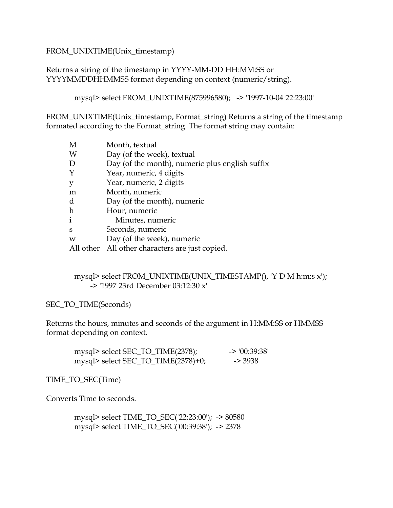#### FROM\_UNIXTIME(Unix\_timestamp)

#### Returns a string of the timestamp in YYYY-MM-DD HH:MM:SS or YYYYMMDDHHMMSS format depending on context (numeric/string).

mysql> select FROM\_UNIXTIME(875996580); -> '1997-10-04 22:23:00'

FROM\_UNIXTIME(Unix\_timestamp, Format\_string) Returns a string of the timestamp formated according to the Format\_string. The format string may contain:

| M            | Month, textual                                  |
|--------------|-------------------------------------------------|
| W            | Day (of the week), textual                      |
| D            | Day (of the month), numeric plus english suffix |
| Y            | Year, numeric, 4 digits                         |
| y            | Year, numeric, 2 digits                         |
| m            | Month, numeric                                  |
| d            | Day (of the month), numeric                     |
| $\hbar$      | Hour, numeric                                   |
| $\mathbf{i}$ | Minutes, numeric                                |
| S            | Seconds, numeric                                |
| W            | Day (of the week), numeric                      |
|              | All other All other characters are just copied. |

 mysql> select FROM\_UNIXTIME(UNIX\_TIMESTAMP(), 'Y D M h:m:s x'); -> '1997 23rd December 03:12:30 x'

SEC\_TO\_TIME(Seconds)

Returns the hours, minutes and seconds of the argument in H:MM:SS or HMMSS format depending on context.

| mysql> select SEC_TO_TIME(2378);   | $\geq 00:39:38$ |
|------------------------------------|-----------------|
| mysql> select SEC_TO_TIME(2378)+0; | -> 3938         |

TIME\_TO\_SEC(Time)

Converts Time to seconds.

 mysql> select TIME\_TO\_SEC('22:23:00'); -> 80580 mysql> select TIME\_TO\_SEC('00:39:38'); -> 2378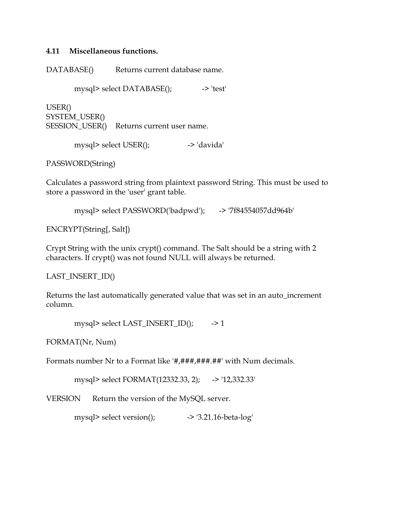#### <span id="page-57-0"></span>**4.11 Miscellaneous functions.**

DATABASE() Returns current database name.

mysql> select DATABASE(); --> 'test'

USER() SYSTEM\_USER() SESSION\_USER() Returns current user name.

mysql> select USER(); -> 'davida'

PASSWORD(String)

Calculates a password string from plaintext password String. This must be used to store a password in the 'user' grant table.

mysql> select PASSWORD('badpwd'); -> '7f84554057dd964b'

ENCRYPT(String[, Salt])

Crypt String with the unix crypt() command. The Salt should be a string with 2 characters. If crypt() was not found NULL will always be returned.

LAST\_INSERT\_ID()

Returns the last automatically generated value that was set in an auto\_increment column.

```
mysql> select LAST_INSERT_ID(); \rightarrow 1
```
FORMAT(Nr, Num)

Formats number Nr to a Format like '#,###,###.##' with Num decimals.

mysql> select FORMAT(12332.33, 2); -> '12,332.33'

VERSION Return the version of the MySQL server.

mysql> select version(); -> '3.21.16-beta-log'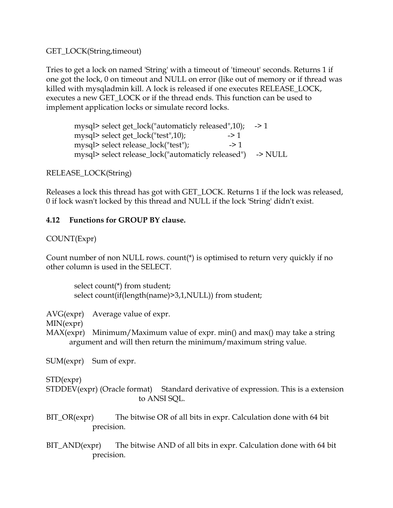<span id="page-58-0"></span>GET\_LOCK(String,timeout)

Tries to get a lock on named 'String' with a timeout of 'timeout' seconds. Returns 1 if one got the lock, 0 on timeout and NULL on error (like out of memory or if thread was killed with mysqladmin kill. A lock is released if one executes RELEASE\_LOCK, executes a new GET\_LOCK or if the thread ends. This function can be used to implement application locks or simulate record locks.

mysql> select get\_lock("automaticly released",10); -> 1 mysql> select get\_lock("test",10);  $\longrightarrow$  1 mysql> select release\_lock("test");  $\longrightarrow$  1 mysql> select release\_lock("automaticly released") -> NULL

## RELEASE\_LOCK(String)

Releases a lock this thread has got with GET\_LOCK. Returns 1 if the lock was released, 0 if lock wasn't locked by this thread and NULL if the lock 'String' didn't exist.

## **4.12 Functions for GROUP BY clause.**

## COUNT(Expr)

Count number of non NULL rows. count(\*) is optimised to return very quickly if no other column is used in the SELECT.

 select count(\*) from student; select count(if(length(name)>3,1,NULL)) from student;

AVG(expr) Average value of expr.

MIN(expr)

MAX(expr) Minimum/Maximum value of expr. min() and max() may take a string argument and will then return the minimum/maximum string value.

SUM(expr) Sum of expr.

## STD(expr)

STDDEV(expr) (Oracle format) Standard derivative of expression. This is a extension to ANSI SQL.

- BIT\_OR(expr) The bitwise OR of all bits in expr. Calculation done with 64 bit precision.
- BIT\_AND(expr) The bitwise AND of all bits in expr. Calculation done with 64 bit precision.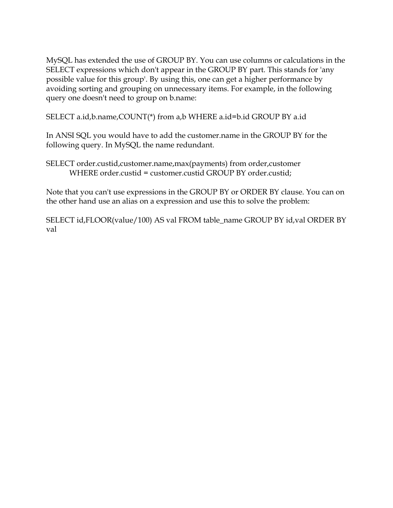MySQL has extended the use of GROUP BY. You can use columns or calculations in the SELECT expressions which don't appear in the GROUP BY part. This stands for 'any possible value for this group'. By using this, one can get a higher performance by avoiding sorting and grouping on unnecessary items. For example, in the following query one doesn't need to group on b.name:

SELECT a.id,b.name,COUNT(\*) from a,b WHERE a.id=b.id GROUP BY a.id

In ANSI SQL you would have to add the customer.name in the GROUP BY for the following query. In MySQL the name redundant.

SELECT order.custid,customer.name,max(payments) from order,customer WHERE order.custid = customer.custid GROUP BY order.custid;

Note that you can't use expressions in the GROUP BY or ORDER BY clause. You can on the other hand use an alias on a expression and use this to solve the problem:

SELECT id,FLOOR(value/100) AS val FROM table\_name GROUP BY id,val ORDER BY val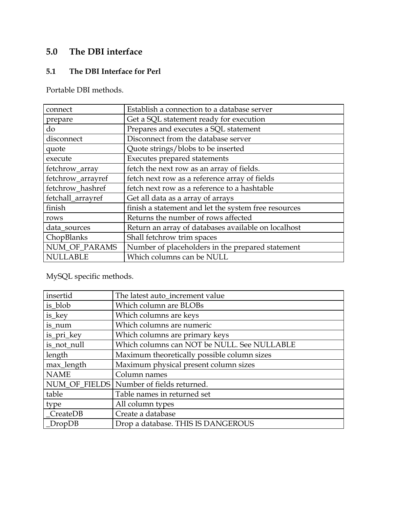# <span id="page-60-0"></span>**5.0 The DBI interface**

## **5.1 The DBI Interface for Perl**

Portable DBI methods.

| connect           | Establish a connection to a database server          |
|-------------------|------------------------------------------------------|
| prepare           | Get a SQL statement ready for execution              |
| do                | Prepares and executes a SQL statement                |
| disconnect        | Disconnect from the database server                  |
| quote             | Quote strings/blobs to be inserted                   |
| execute           | <b>Executes prepared statements</b>                  |
| fetchrow_array    | fetch the next row as an array of fields.            |
| fetchrow_arrayref | fetch next row as a reference array of fields        |
| fetchrow_hashref  | fetch next row as a reference to a hashtable         |
| fetchall_arrayref | Get all data as a array of arrays                    |
| finish            | finish a statement and let the system free resources |
| rows              | Returns the number of rows affected                  |
| data_sources      | Return an array of databases available on localhost  |
| ChopBlanks        | Shall fetchrow trim spaces                           |
| NUM_OF_PARAMS     | Number of placeholders in the prepared statement     |
| <b>NULLABLE</b>   | Which columns can be NULL                            |

MySQL specific methods.

| insertid    | The latest auto_increment value             |
|-------------|---------------------------------------------|
| is_blob     | Which column are BLOBs                      |
| is_key      | Which columns are keys                      |
| is_num      | Which columns are numeric                   |
| is_pri_key  | Which columns are primary keys              |
| is_not_null | Which columns can NOT be NULL. See NULLABLE |
| length      | Maximum theoretically possible column sizes |
| max_length  | Maximum physical present column sizes       |
| <b>NAME</b> | Column names                                |
|             | NUM_OF_FIELDS   Number of fields returned.  |
| table       | Table names in returned set                 |
| type        | All column types                            |
| CreateDB    | Create a database                           |
| DropDB      | Drop a database. THIS IS DANGEROUS          |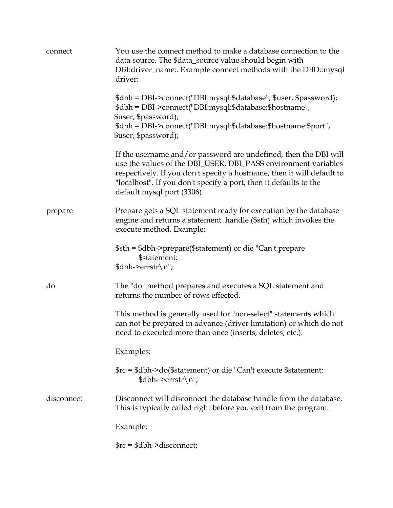| connect    | You use the connect method to make a database connection to the<br>data source. The \$data_source value should begin with<br>DBI:driver_name:. Example connect methods with the DBD::mysql<br>driver:                                                                                                           |
|------------|-----------------------------------------------------------------------------------------------------------------------------------------------------------------------------------------------------------------------------------------------------------------------------------------------------------------|
|            | \$dbh = DBI->connect("DBI:mysql:\$database", \$user, \$password);<br>\$dbh = DBI->connect("DBI:mysql:\$database:\$hostname",<br>\$user, \$password);<br>\$dbh = DBI->connect("DBI:mysql:\$database:\$hostname:\$port",                                                                                          |
|            | \$user, \$password);                                                                                                                                                                                                                                                                                            |
|            | If the username and/or password are undefined, then the DBI will<br>use the values of the DBI_USER, DBI_PASS environment variables<br>respectively. If you don't specify a hostname, then it will default to<br>"localhost". If you don't specify a port, then it defaults to the<br>default mysql port (3306). |
| prepare    | Prepare gets a SQL statement ready for execution by the database<br>engine and returns a statement handle (\$sth) which invokes the<br>execute method. Example:                                                                                                                                                 |
|            | \$sth = \$dbh->prepare(\$statement) or die "Can't prepare<br>\$statement:<br>$\delta$ dbh->errstr\n";                                                                                                                                                                                                           |
| do         | The "do" method prepares and executes a SQL statement and<br>returns the number of rows effected.                                                                                                                                                                                                               |
|            | This method is generally used for "non-select" statements which<br>can not be prepared in advance (driver limitation) or which do not<br>need to executed more than once (inserts, deletes, etc.).                                                                                                              |
|            | Examples:                                                                                                                                                                                                                                                                                                       |
|            | \$rc = \$dbh->do(\$statement) or die "Can't execute \$statement:<br>$$dbh$ - >errstr $\n\cdot$ n";                                                                                                                                                                                                              |
| disconnect | Disconnect will disconnect the database handle from the database.<br>This is typically called right before you exit from the program.                                                                                                                                                                           |
|            | Example:                                                                                                                                                                                                                                                                                                        |
|            | $\frac{1}{2}$ frc = \$dbh->disconnect;                                                                                                                                                                                                                                                                          |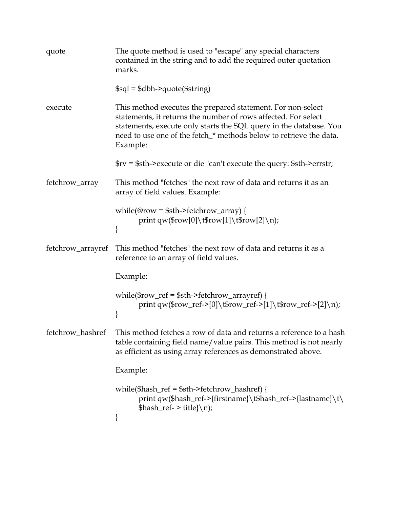| quote             | The quote method is used to "escape" any special characters<br>contained in the string and to add the required outer quotation<br>marks.                                                                                                                                                                            |
|-------------------|---------------------------------------------------------------------------------------------------------------------------------------------------------------------------------------------------------------------------------------------------------------------------------------------------------------------|
|                   | $\$$ sql = $\delta$ dbh->quote( $\$$ string)                                                                                                                                                                                                                                                                        |
| execute           | This method executes the prepared statement. For non-select<br>statements, it returns the number of rows affected. For select<br>statements, execute only starts the SQL query in the database. You<br>need to use one of the fetch_* methods below to retrieve the data.<br>Example:                               |
|                   | $\frac{1}{2}$ $\frac{1}{2}$ $\frac{1}{2}$ $\frac{1}{2}$ $\frac{1}{2}$ $\frac{1}{2}$ $\frac{1}{2}$ $\frac{1}{2}$ $\frac{1}{2}$ $\frac{1}{2}$ $\frac{1}{2}$ $\frac{1}{2}$ $\frac{1}{2}$ $\frac{1}{2}$ $\frac{1}{2}$ $\frac{1}{2}$ $\frac{1}{2}$ $\frac{1}{2}$ $\frac{1}{2}$ $\frac{1}{2}$ $\frac{1}{2}$ $\frac{1}{2}$ |
| fetchrow_array    | This method "fetches" the next row of data and returns it as an<br>array of field values. Example:                                                                                                                                                                                                                  |
|                   | while(@row = \$sth->fetchrow_array) {<br>print qw(\$row[0]\t\$row[1]\t\$row[2]\n);                                                                                                                                                                                                                                  |
| fetchrow_arrayref | This method "fetches" the next row of data and returns it as a<br>reference to an array of field values.                                                                                                                                                                                                            |
|                   | Example:                                                                                                                                                                                                                                                                                                            |
|                   | while(\$row_ref = \$sth->fetchrow_arrayref) {<br>print qw(\$row_ref->[0]\t\$row_ref->[1]\t\$row_ref->[2]\n);                                                                                                                                                                                                        |
| fetchrow_hashref  | This method fetches a row of data and returns a reference to a hash<br>table containing field name/value pairs. This method is not nearly<br>as efficient as using array references as demonstrated above.                                                                                                          |
|                   | Example:                                                                                                                                                                                                                                                                                                            |
|                   | while(\$hash_ref = \$sth->fetchrow_hashref) {<br>print qw(\$hash_ref->{firstname}\t\$hash_ref->{lastname}\t\<br>$\hbox{Shash_ref-}> title}{\n}$                                                                                                                                                                     |
|                   |                                                                                                                                                                                                                                                                                                                     |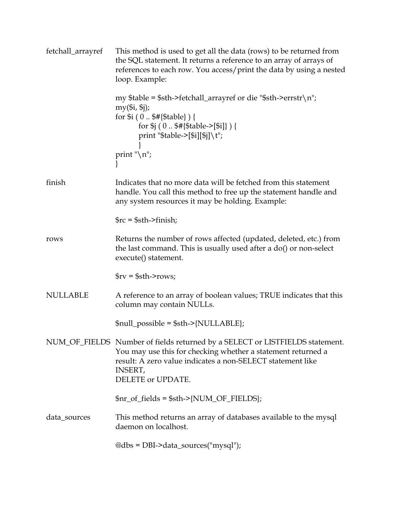| fetchall_arrayref | This method is used to get all the data (rows) to be returned from<br>the SQL statement. It returns a reference to an array of arrays of<br>references to each row. You access/print the data by using a nested<br>loop. Example:                                                                         |
|-------------------|-----------------------------------------------------------------------------------------------------------------------------------------------------------------------------------------------------------------------------------------------------------------------------------------------------------|
|                   | my \$table = \$sth->fetchall_arrayref or die "\$sth->errstr\n";<br>$my(Si, Si)$ ;<br>for $i(0 $#{Stable})$ {<br>for $\frac{1}{9}$ (0 $\frac{1}{9}$ {\distable->[\$i]} ) {<br>print "\$table->[\$i][\$j]\t";                                                                                               |
|                   | print " $\langle n'';$                                                                                                                                                                                                                                                                                    |
| finish            | Indicates that no more data will be fetched from this statement<br>handle. You call this method to free up the statement handle and<br>any system resources it may be holding. Example:                                                                                                                   |
|                   | $\frac{1}{2}$ rc = $\frac{1}{2}$ sth->finish;                                                                                                                                                                                                                                                             |
| rows              | Returns the number of rows affected (updated, deleted, etc.) from<br>the last command. This is usually used after a do() or non-select<br>execute() statement.                                                                                                                                            |
|                   | $\frac{6}{x}$ = $\frac{6}{x}$ = $\frac{1}{x}$ = $\frac{1}{x}$ = $\frac{1}{x}$ = $\frac{1}{x}$ = $\frac{1}{x}$ = $\frac{1}{x}$ = $\frac{1}{x}$ = $\frac{1}{x}$ = $\frac{1}{x}$ = $\frac{1}{x}$ = $\frac{1}{x}$ = $\frac{1}{x}$ = $\frac{1}{x}$ = $\frac{1}{x}$ = $\frac{1}{x}$ = $\frac{1}{x}$ = $\frac{1$ |
| <b>NULLABLE</b>   | A reference to an array of boolean values; TRUE indicates that this<br>column may contain NULLs.                                                                                                                                                                                                          |
|                   | $$null\_possible = $sth > \{NULLABLE\};$                                                                                                                                                                                                                                                                  |
|                   | NUM_OF_FIELDS Number of fields returned by a SELECT or LISTFIELDS statement.<br>You may use this for checking whether a statement returned a<br>result: A zero value indicates a non-SELECT statement like<br><b>INSERT,</b><br>DELETE or UPDATE.                                                         |
|                   | $\frac{\pi_o f_{\text{field}}}{\pi_o}$ fields = \$sth->{NUM_OF_FIELDS};                                                                                                                                                                                                                                   |
| data_sources      | This method returns an array of databases available to the mysql<br>daemon on localhost.                                                                                                                                                                                                                  |
|                   | @dbs = DBI->data_sources("mysql");                                                                                                                                                                                                                                                                        |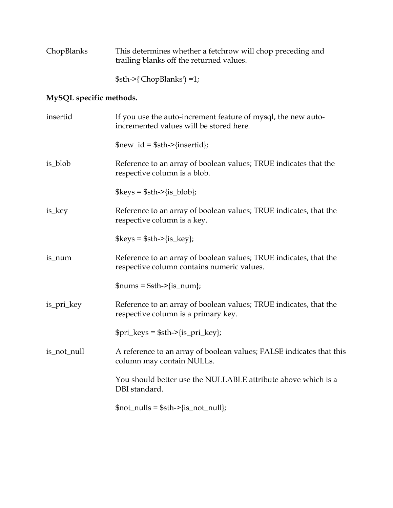| ChopBlanks | This determines whether a fetchrow will chop preceding and |
|------------|------------------------------------------------------------|
|            | trailing blanks off the returned values.                   |

\$sth->{'ChopBlanks') =1;

# **MySQL specific methods.**

| insertid    | If you use the auto-increment feature of mysql, the new auto-<br>incremented values will be stored here.        |
|-------------|-----------------------------------------------------------------------------------------------------------------|
|             | $$new_id = $sth > {insertid};$                                                                                  |
| is_blob     | Reference to an array of boolean values; TRUE indicates that the<br>respective column is a blob.                |
|             | $\text{Skevs} = \text{Ssth} > \{\text{is\_blob}\};$                                                             |
| is_key      | Reference to an array of boolean values; TRUE indicates, that the<br>respective column is a key.                |
|             | $\text{Skevs} = \text{Ssth} > \{\text{is\_key}\};$                                                              |
| is_num      | Reference to an array of boolean values; TRUE indicates, that the<br>respective column contains numeric values. |
|             | $\{\text{sums} = \text{Sth} > \{\text{is} \text{num}\};$                                                        |
| is_pri_key  | Reference to an array of boolean values; TRUE indicates, that the<br>respective column is a primary key.        |
|             | $\pri_{\text{keys}} = \frac{1}{5}$ sth->{is_pri_key};                                                           |
| is_not_null | A reference to an array of boolean values; FALSE indicates that this<br>column may contain NULLs.               |
|             | You should better use the NULLABLE attribute above which is a<br>DBI standard.                                  |
|             | $\text{foot\_nulls} = \text{Ssth} > \{\text{is\_not\_null}\};$                                                  |